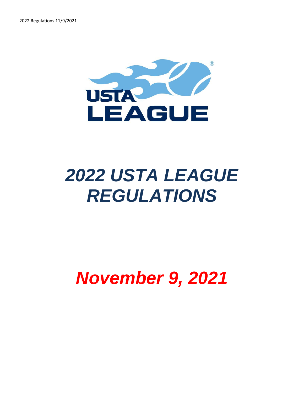

# *2022 USTA LEAGUE REGULATIONS*

## *November 9, 2021*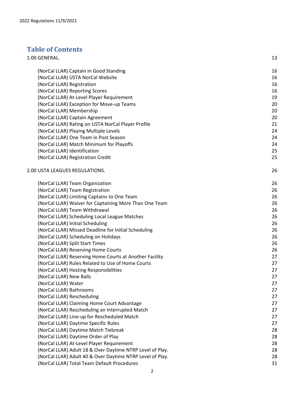## **Table of Contents**

| 1.00 GENERAL.                                             | 13 |
|-----------------------------------------------------------|----|
| (NorCal LLAR) Captain in Good Standing                    | 16 |
| (NorCal LLAR) USTA NorCal Website                         | 16 |
| (NorCal LLAR) Registration                                | 16 |
| (NorCal LLAR) Reporting Scores                            | 16 |
| (NorCal LLAR) At-Level Player Requirement                 | 19 |
| (NorCal LLAR) Exception for Move-up Teams                 | 20 |
| (NorCal LLAR) Membership                                  | 20 |
| (NorCal LLAR) Captain Agreement                           | 20 |
| (NorCal LLAR) Rating on USTA NorCal Player Profile        | 21 |
| (NorCal LLAR) Playing Multiple Levels                     | 24 |
| (NorCal LLAR) One Team in Post Season                     | 24 |
| (NorCal LLAR) Match Minimum for Playoffs                  | 24 |
| (NorCal LLAR) Identification                              | 25 |
| (NorCal LLAR) Registration Credit                         | 25 |
| 2.00 USTA LEAGUES REGULATIONS.                            | 26 |
| (NorCal LLAR) Team Organization                           | 26 |
| (NorCal LLAR) Team Registration                           | 26 |
| (NorCal LLAR) Limiting Captains to One Team               | 26 |
| (NorCal LLAR) Waiver for Captaining More Than One Team    | 26 |
| (NorCal LLAR) Team Withdrawal                             | 26 |
| (NorCal LLAR) Scheduling Local League Matches             | 26 |
| (NorCal LLAR) Initial Scheduling                          | 26 |
| (NorCal LLAR) Missed Deadline for Initial Scheduling      | 26 |
| (NorCal LLAR) Scheduling on Holidays                      | 26 |
| (NorCal LLAR) Split Start Times                           | 26 |
| (NorCal LLAR) Reserving Home Courts                       | 26 |
| (NorCal LLAR) Reserving Home Courts at Another Facility   | 27 |
| (NorCal LLAR) Rules Related to Use of Home Courts         | 27 |
| (NorCal LLAR) Hosting Responsibilities                    | 27 |
| (NorCal LLAR) New Balls                                   | 27 |
| (NorCal LLAR) Water                                       | 27 |
| (NorCal LLAR) Bathrooms                                   | 27 |
| (NorCal LLAR) Rescheduling                                | 27 |
| (NorCal LLAR) Claiming Home Court Advantage               | 27 |
| (NorCal LLAR) Rescheduling an Interrupted Match           | 27 |
| (NorCal LLAR) Line-up for Rescheduled Match               | 27 |
| (NorCal LLAR) Daytime Specific Rules                      | 27 |
| (NorCal LLAR) Daytime Match Tiebreak                      | 28 |
| (NorCal LLAR) Daytime Order of Play                       | 28 |
| (NorCal LLAR) At-Level Player Requirement                 | 28 |
| (NorCal LLAR) Adult 18 & Over Daytime NTRP Level of Play. | 28 |
| (NorCal LLAR) Adult 40 & Over Daytime NTRP Level of Play. | 28 |
| (NorCal LLAR) Total Team Default Procedures               | 31 |
|                                                           |    |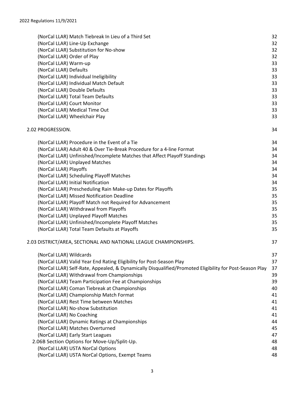| (NorCal LLAR) Match Tiebreak In Lieu of a Third Set                                                     | 32 |
|---------------------------------------------------------------------------------------------------------|----|
| (NorCal LLAR) Line-Up Exchange                                                                          | 32 |
| (NorCal LLAR) Substitution for No-show                                                                  | 32 |
| (NorCal LLAR) Order of Play                                                                             | 32 |
| (NorCal LLAR) Warm-up                                                                                   | 33 |
| (NorCal LLAR) Defaults                                                                                  | 33 |
| (NorCal LLAR) Individual Ineligibility                                                                  | 33 |
| (NorCal LLAR) Individual Match Default                                                                  | 33 |
| (NorCal LLAR) Double Defaults                                                                           | 33 |
| (NorCal LLAR) Total Team Defaults                                                                       | 33 |
| (NorCal LLAR) Court Monitor                                                                             | 33 |
| (NorCal LLAR) Medical Time Out                                                                          | 33 |
| (NorCal LLAR) Wheelchair Play                                                                           | 33 |
| 2.02 PROGRESSION.                                                                                       | 34 |
| (NorCal LLAR) Procedure in the Event of a Tie                                                           | 34 |
| (NorCal LLAR) Adult 40 & Over Tie-Break Procedure for a 4-line Format                                   | 34 |
| (NorCal LLAR) Unfinished/Incomplete Matches that Affect Playoff Standings                               | 34 |
| (NorCal LLAR) Unplayed Matches                                                                          | 34 |
| (NorCal LLAR) Playoffs                                                                                  | 34 |
| (NorCal LLAR) Scheduling Playoff Matches                                                                | 34 |
| (NorCal LLAR) Initial Notification                                                                      | 34 |
| (NorCal LLAR) Prescheduling Rain Make-up Dates for Playoffs                                             | 35 |
| (NorCal LLAR) Missed Notification Deadline                                                              | 35 |
| (NorCal LLAR) Playoff Match not Required for Advancement                                                | 35 |
| (NorCal LLAR) Withdrawal from Playoffs                                                                  | 35 |
| (NorCal LLAR) Unplayed Playoff Matches                                                                  | 35 |
| (NorCal LLAR) Unfinished/Incomplete Playoff Matches                                                     | 35 |
| (NorCal LLAR) Total Team Defaults at Playoffs                                                           | 35 |
| 2.03 DISTRICT/AREA, SECTIONAL AND NATIONAL LEAGUE CHAMPIONSHIPS.                                        | 37 |
| (NorCal LLAR) Wildcards                                                                                 | 37 |
| (NorCal LLAR) Valid Year End Rating Eligibility for Post-Season Play                                    | 37 |
| (NorCal LLAR) Self-Rate, Appealed, & Dynamically Disqualified/Promoted Eligibility for Post-Season Play | 37 |
| (NorCal LLAR) Withdrawal from Championships                                                             | 39 |
| (NorCal LLAR) Team Participation Fee at Championships                                                   | 39 |
| (NorCal LLAR) Coman Tiebreak at Championships                                                           | 40 |
| (NorCal LLAR) Championship Match Format                                                                 | 41 |
| (NorCal LLAR) Rest Time between Matches                                                                 | 41 |
| (NorCal LLAR) No-show Substitution                                                                      | 41 |
| (NorCal LLAR) No Coaching                                                                               | 41 |
| (NorCal LLAR) Dynamic Ratings at Championships                                                          | 44 |
| (NorCal LLAR) Matches Overturned                                                                        | 45 |
| (NorCal LLAR) Early Start Leagues                                                                       | 47 |
| 2.06B Section Options for Move-Up/Split-Up.                                                             | 48 |
| (NorCal LLAR) USTA NorCal Options                                                                       | 48 |
| (NorCal LLAR) USTA NorCal Options, Exempt Teams                                                         | 48 |
|                                                                                                         |    |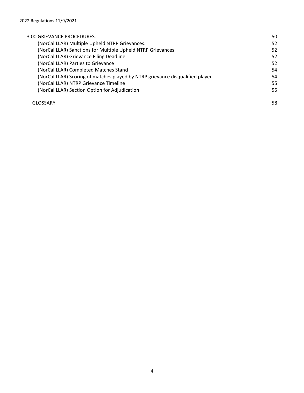| 3.00 GRIEVANCE PROCEDURES.                                                    | 50 |
|-------------------------------------------------------------------------------|----|
| (NorCal LLAR) Multiple Upheld NTRP Grievances.                                | 52 |
| (NorCal LLAR) Sanctions for Multiple Upheld NTRP Grievances                   | 52 |
| (NorCal LLAR) Grievance Filing Deadline                                       | 52 |
| (NorCal LLAR) Parties to Grievance                                            | 52 |
| (NorCal LLAR) Completed Matches Stand                                         | 54 |
| (NorCal LLAR) Scoring of matches played by NTRP grievance disqualified player | 54 |
| (NorCal LLAR) NTRP Grievance Timeline                                         | 55 |
| (NorCal LLAR) Section Option for Adjudication                                 | 55 |
| GLOSSARY.                                                                     | 58 |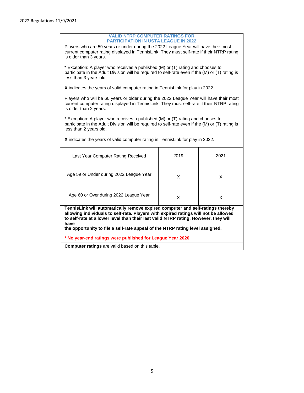| <b>VALID NTRP COMPUTER RATINGS FOR</b><br><b>PARTICIPATION IN USTA LEAGUE IN 2022</b>                                                                                                                                                                                                                                                                 |                                                                                |      |  |  |  |
|-------------------------------------------------------------------------------------------------------------------------------------------------------------------------------------------------------------------------------------------------------------------------------------------------------------------------------------------------------|--------------------------------------------------------------------------------|------|--|--|--|
| Players who are 59 years or under during the 2022 League Year will have their most<br>current computer rating displayed in TennisLink. They must self-rate if their NTRP rating<br>is older than 3 years.                                                                                                                                             |                                                                                |      |  |  |  |
| * Exception: A player who receives a published (M) or (T) rating and chooses to<br>participate in the Adult Division will be required to self-rate even if the (M) or (T) rating is<br>less than 3 years old.                                                                                                                                         |                                                                                |      |  |  |  |
| X indicates the years of valid computer rating in TennisLink for play in 2022                                                                                                                                                                                                                                                                         |                                                                                |      |  |  |  |
| Players who will be 60 years or older during the 2022 League Year will have their most<br>current computer rating displayed in TennisLink. They must self-rate if their NTRP rating<br>is older than 2 years.                                                                                                                                         |                                                                                |      |  |  |  |
| * Exception: A player who receives a published (M) or (T) rating and chooses to<br>participate in the Adult Division will be required to self-rate even if the (M) or (T) rating is<br>less than 2 years old.                                                                                                                                         |                                                                                |      |  |  |  |
|                                                                                                                                                                                                                                                                                                                                                       | X indicates the years of valid computer rating in TennisLink for play in 2022. |      |  |  |  |
| Last Year Computer Rating Received                                                                                                                                                                                                                                                                                                                    | 2019                                                                           | 2021 |  |  |  |
| Age 59 or Under during 2022 League Year<br>X<br>X                                                                                                                                                                                                                                                                                                     |                                                                                |      |  |  |  |
| Age 60 or Over during 2022 League Year<br>X<br>X                                                                                                                                                                                                                                                                                                      |                                                                                |      |  |  |  |
| TennisLink will automatically remove expired computer and self-ratings thereby<br>allowing individuals to self-rate. Players with expired ratings will not be allowed<br>to self-rate at a lower level than their last valid NTRP rating. However, they will<br>have<br>the opportunity to file a self-rate appeal of the NTRP rating level assigned. |                                                                                |      |  |  |  |
| * No year-end ratings were published for League Year 2020                                                                                                                                                                                                                                                                                             |                                                                                |      |  |  |  |
| Computer ratings are valid based on this table.                                                                                                                                                                                                                                                                                                       |                                                                                |      |  |  |  |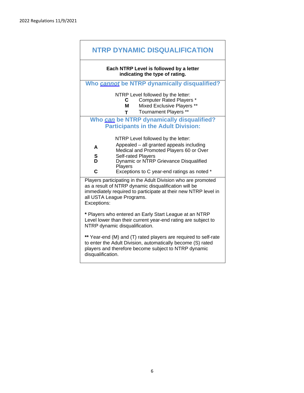|                                                                                                                                                                                                                                    | <b>NTRP DYNAMIC DISQUALIFICATION</b>                                                                                                                     |  |  |  |  |
|------------------------------------------------------------------------------------------------------------------------------------------------------------------------------------------------------------------------------------|----------------------------------------------------------------------------------------------------------------------------------------------------------|--|--|--|--|
|                                                                                                                                                                                                                                    | Each NTRP Level is followed by a letter<br>indicating the type of rating.                                                                                |  |  |  |  |
|                                                                                                                                                                                                                                    | Who cannot be NTRP dynamically disqualified?                                                                                                             |  |  |  |  |
|                                                                                                                                                                                                                                    | NTRP Level followed by the letter:<br><b>Computer Rated Players *</b><br>C .<br>Mixed Exclusive Players **<br>M<br>Tournament Players **<br>$\mathsf{T}$ |  |  |  |  |
|                                                                                                                                                                                                                                    | Who can be NTRP dynamically disqualified?<br><b>Participants in the Adult Division:</b>                                                                  |  |  |  |  |
|                                                                                                                                                                                                                                    | NTRP Level followed by the letter:                                                                                                                       |  |  |  |  |
| A                                                                                                                                                                                                                                  | Appealed - all granted appeals including<br>Medical and Promoted Players 60 or Over                                                                      |  |  |  |  |
| S                                                                                                                                                                                                                                  | <b>Self-rated Players</b>                                                                                                                                |  |  |  |  |
| D                                                                                                                                                                                                                                  | Dynamic or NTRP Grievance Disqualified<br>Players                                                                                                        |  |  |  |  |
| C                                                                                                                                                                                                                                  | Exceptions to C year-end ratings as noted *                                                                                                              |  |  |  |  |
| Players participating in the Adult Division who are promoted<br>as a result of NTRP dynamic disqualification will be<br>immediately required to participate at their new NTRP level in<br>all USTA League Programs.<br>Exceptions: |                                                                                                                                                          |  |  |  |  |
| * Players who entered an Early Start League at an NTRP<br>Level lower than their current year-end rating are subject to<br>NTRP dynamic disqualification.                                                                          |                                                                                                                                                          |  |  |  |  |
| ** Year-end (M) and (T) rated players are required to self-rate<br>to enter the Adult Division, automatically become (S) rated<br>players and therefore become subject to NTRP dynamic<br>disqualification.                        |                                                                                                                                                          |  |  |  |  |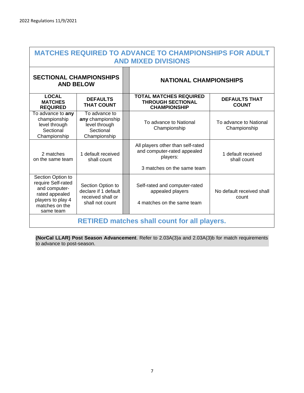| <b>MATCHES REQUIRED TO ADVANCE TO CHAMPIONSHIPS FOR ADULT</b><br><b>AND MIXED DIVISIONS</b>                                    |                                                                                   |  |                                                                                                            |                                        |
|--------------------------------------------------------------------------------------------------------------------------------|-----------------------------------------------------------------------------------|--|------------------------------------------------------------------------------------------------------------|----------------------------------------|
| <b>SECTIONAL CHAMPIONSHIPS</b><br><b>AND BELOW</b>                                                                             |                                                                                   |  | <b>NATIONAL CHAMPIONSHIPS</b>                                                                              |                                        |
| <b>LOCAL</b><br><b>MATCHES</b><br><b>REQUIRED</b>                                                                              | <b>DEFAULTS</b><br><b>THAT COUNT</b>                                              |  | <b>TOTAL MATCHES REQUIRED</b><br><b>THROUGH SECTIONAL</b><br><b>CHAMPIONSHIP</b>                           | <b>DEFAULTS THAT</b><br><b>COUNT</b>   |
| To advance to any<br>championship<br>level through<br>Sectional<br>Championship                                                | To advance to<br>any championship<br>level through<br>Sectional<br>Championship   |  | To advance to National<br>Championship                                                                     | To advance to National<br>Championship |
| 2 matches<br>on the same team                                                                                                  | 1 default received<br>shall count                                                 |  | All players other than self-rated<br>and computer-rated appealed<br>players:<br>3 matches on the same team | 1 default received<br>shall count      |
| Section Option to<br>require Self-rated<br>and computer-<br>rated appealed<br>players to play 4<br>matches on the<br>same team | Section Option to<br>declare if 1 default<br>received shall or<br>shall not count |  | Self-rated and computer-rated<br>appealed players<br>4 matches on the same team                            | No default received shall<br>count     |
| <b>RETIRED matches shall count for all players.</b>                                                                            |                                                                                   |  |                                                                                                            |                                        |

**(NorCal LLAR) Post Season Advancement**. Refer to 2.03A(3)a and 2.03A(3)b for match requirements to advance to post-season.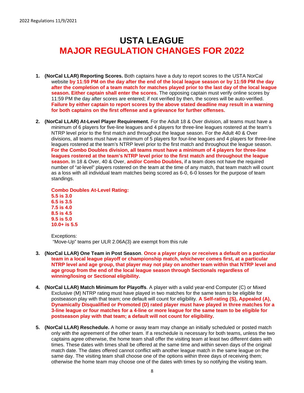## **USTA LEAGUE MAJOR REGULATION CHANGES FOR 2022**

- **1. (NorCal LLAR) Reporting Scores.** Both captains have a duty to report scores to the USTA NorCal website **by 11:59 PM on the day after the end of the local league season or by 11:59 PM the day after the completion of a team match for matches played prior to the last day of the local league season. Either captain shall enter the scores.** The opposing captain must verify online scores by 11:59 PM the day after scores are entered; if not verified by then, the scores will be auto-verified. **Failure by either captain to report scores by the above stated deadline may result in a warning for both captains on the first offense and a grievance for further offenses.**
- **2. (NorCal LLAR) At-Level Player Requirement.** For the Adult 18 & Over division, all teams must have a minimum of 6 players for five-line leagues and 4 players for three-line leagues rostered at the team's NTRP level prior to the first match and throughout the league season. For the Adult 40 & Over divisions, all teams must have a minimum of 5 players for four-line leagues and 4 players for three-line leagues rostered at the team's NTRP level prior to the first match and throughout the league season. **For the Combo Doubles division, all teams must have a minimum of 4 players for three-line leagues rostered at the team's NTRP level prior to the first match and throughout the league season.** In 18 & Over, 40 & Over, **and/or Combo Doubles,** if a team does not have the required number of "at-level" players rostered on the team at the time of any match, that team match will count as a loss with all individual team matches being scored as 6-0, 6-0 losses for the purpose of team standings.

**Combo Doubles At-Level Rating: 5.5 is 3.0 6.5 is 3.5 7.5 is 4.0 8.5 is 4.5 9.5 is 5.0 10.0+ is 5.5**

Exceptions: "Move-Up" teams per ULR 2.06A(3) are exempt from this rule

- **3. (NorCal LLAR) One Team in Post Season**. **Once a player plays or receives a default on a particular team in a local league playoff or championship match, whichever comes first, at a particular NTRP level and age group, that player may not play on another team within that NTRP level and age group from the end of the local league season through Sectionals regardless of winning/losing or Sectional eligibility.**
- **4. (NorCal LLAR) Match Minimum for Playoffs**. A player with a valid year-end Computer (C) or Mixed Exclusive (M) NTRP rating must have played in two matches for the same team to be eligible for postseason play with that team; one default will count for eligibility. **A Self-rating (S), Appealed (A), Dynamically Disqualified or Promoted (D) rated player must have played in three matches for a 3-line league or four matches for a 4-line or more league for the same team to be eligible for postseason play with that team; a default will not count for eligibility.**
- **5. (NorCal LLAR) Reschedule.** A home or away team may change an initially scheduled or posted match only with the agreement of the other team. If a reschedule is necessary for both teams, unless the two captains agree otherwise, the home team shall offer the visiting team at least two different dates with times. These dates with times shall be offered at the same time and within seven days of the original match date. The dates offered cannot conflict with another league match in the same league on the same day. The visiting team shall choose one of the options within three days of receiving them; otherwise the home team may choose one of the dates with times by so notifying the visiting team.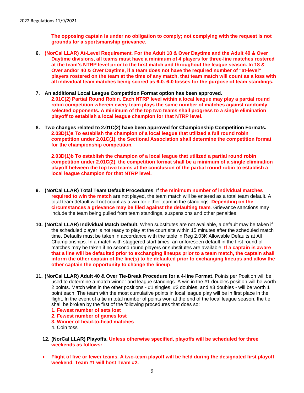**The opposing captain is under no obligation to comply; not complying with the request is not grounds for a sportsmanship grievance.**

- **6. (NorCal LLAR) At-Level Requirement**. **For the Adult 18 & Over Daytime and the Adult 40 & Over Daytime divisions, all teams must have a minimum of 4 players for three-line matches rostered at the team's NTRP level prior to the first match and throughout the league season. In 18 & Over and/or 40 & Over Daytime, if a team does not have the required number of "at-level" players rostered on the team at the time of any match, that team match will count as a loss with all individual team matches being scored as 6-0. 6-0 losses for the purpose of team standings.**
- **7. An additional Local League Competition Format option has been approved. 2.01C(2) Partial Round Robin. Each NTRP level within a local league may play a partial round robin competition wherein every team plays the same number of matches against randomly selected opponents. A minimum of the top two teams shall progress to a single elimination playoff to establish a local league champion for that NTRP level.**
- **8. Two changes related to 2.01C(2) have been approved for Championship Competition Formats. 2.03D(1)a To establish the champion of a local league that utilized a full round robin competition under 2.01C(1), the Sectional Association shall determine the competition format for the championship competition.**

**2.03D(1)b To establish the champion of a local league that utilized a partial round robin competition under 2.01C(2), the competition format shall be a minimum of a single elimination playoff between the top two teams at the conclusion of the partial round robin to establish a local league champion for that NTRP level.**

- **9. (NorCal LLAR) Total Team Default Procedures**. If **the minimum number of individual matches required to win the match** are not played, the team match will be entered as a total team default. A total team default will not count as a win for either team in the standings. **Depending on the circumstances a grievance may be filed against the defaulting team**. Grievance sanctions may include the team being pulled from team standings, suspensions and other penalties.
- **10. (NorCal LLAR) Individual Match Default.** When substitutes are not available, a default may be taken if the scheduled player is not ready to play at the court site within 15 minutes after the scheduled match time. Defaults must be taken in accordance with the table in Reg 2.03K Allowable Defaults at All Championships. In a match with staggered start times, an unforeseen default in the first round of matches may be taken if no second round players or substitutes are available. **If a captain is aware that a line will be defaulted prior to exchanging lineups prior to a team match, the captain shall inform the other captain of the line(s) to be defaulted prior to exchanging lineups and allow the other captain the opportunity to change the lineup**.
- **11. (NorCal LLAR) Adult 40 & Over Tie-Break Procedure for a 4-line Format**. Points per Position will be used to determine a match winner and league standings. A win in the #1 doubles position will be worth 2 points. Match wins in the other positions - #1 singles, #2 doubles, and #3 doubles - will be worth 1 point each. The team with the most cumulative points in local league play will be in first place in the flight. In the event of a tie in total number of points won at the end of the local league season, the tie shall be broken by the first of the following procedures that does so:
	- **1. Fewest number of sets lost**
	- **2. Fewest number of games lost**
	- **3. Winner of head-to-head matches**
	- 4. Coin toss
	- **12. (NorCal LLAR) Playoffs. Unless otherwise specified, playoffs will be scheduled for three weekends as follows:**
	- **Flight of five or fewer teams. A two-team playoff will be held during the designated first playoff weekend. Team #1 will host Team #2.**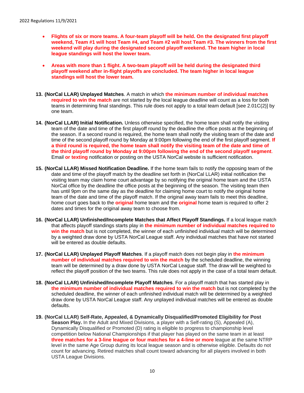- **Flights of six or more teams. A four-team playoff will be held. On the designated first playoff weekend, Team #1 will host Team #4, and Team #2 will host Team #3. The winners from the first weekend will play during the designated second playoff weekend. The team higher in local league standings will host the lower team.**
- **Areas with more than 1 flight. A two-team playoff will be held during the designated third playoff weekend after in-flight playoffs are concluded. The team higher in local league standings will host the lower team.**
- **13. (NorCal LLAR) Unplayed Matches**. A match in which **the minimum number of individual matches required to win the match** are not started by the local league deadline will count as a loss for both teams in determining final standings. This rule does not apply to a total team default [see 2.01C(2)] by one team.
- **14. (NorCal LLAR) Initial Notification.** Unless otherwise specified, the home team shall notify the visiting team of the date and time of the first playoff round by the deadline the office posts at the beginning of the season. If a second round is required, the home team shall notify the visiting team of the date and time of the second playoff round by Monday at 9:00pm following the end of the first playoff segment. If **a third round is required, the home team shall notify the visiting team of the date and time of the third playoff round by Monday at 9:00pm following the end of the second playoff segment**. Email **or texting** notification or posting on the USTA NorCal website is sufficient notification.
- **15. (NorCal LLAR) Missed Notification Deadline.** If the home team fails to notify the opposing team of the date and time of the playoff match by the deadline set forth in (NorCal LLAR) initial notification the visiting team may claim home court advantage by so notifying the original home team and the USTA NorCal office by the deadline the office posts at the beginning of the season. The visiting team then has until 9pm on the same day as the deadline for claiming home court to notify the original home team of the date and time of the playoff match. If the original away team fails to meet this deadline, home court goes back to the **original** home team and the **original** home team is required to offer 2 dates and times for the original away team to choose from.
- **16. (NorCal LLAR) Unfinished/Incomplete Matches that Affect Playoff Standings.** If a local league match that affects playoff standings starts play in **the minimum number of individual matches required to win the match** but is not completed, the winner of each unfinished individual match will be determined by a weighted draw done by USTA NorCal League staff. Any individual matches that have not started will be entered as double defaults.
- **17. (NorCal LLAR) Unplayed Playoff Matches**. If a playoff match does not begin play in **the minimum number of individual matches required to win the match** by the scheduled deadline, the winning team will be determined by a draw done by USTA NorCal League staff. The draw will be weighted to reflect the playoff position of the two teams. This rule does not apply in the case of a total team default.
- **18. (NorCal LLAR) Unfinished/Incomplete Playoff Matches**. For a playoff match that has started play in **the minimum number of individual matches required to win the match** but is not completed by the scheduled deadline, the winner of each unfinished individual match will be determined by a weighted draw done by USTA NorCal League staff. Any unplayed individual matches will be entered as double defaults.
- **19. (NorCal LLAR) Self-Rate, Appealed, & Dynamically Disqualified/Promoted Eligibility for Post Season Play.** In the Adult and Mixed Divisions, a player with a Self-rating (S), Appealed (A), Dynamically Disqualified or Promoted (D) rating is eligible to progress to championship level competition below National Championships if that player has played on the same team in at least **three matches for a 3-line league or four matches for a 4-line or more** league at the same NTRP level in the same Age Group during its local league season and is otherwise eligible. Defaults do not count for advancing. Retired matches shall count toward advancing for all players involved in both USTA League Divisions.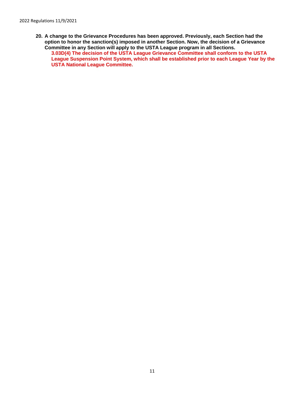**20. A change to the Grievance Procedures has been approved. Previously, each Section had the option to honor the sanction(s) imposed in another Section. Now, the decision of a Grievance Committee in any Section will apply to the USTA League program in all Sections.** 

**3.03D(4) The decision of the USTA League Grievance Committee shall conform to the USTA League Suspension Point System, which shall be established prior to each League Year by the USTA National League Committee.**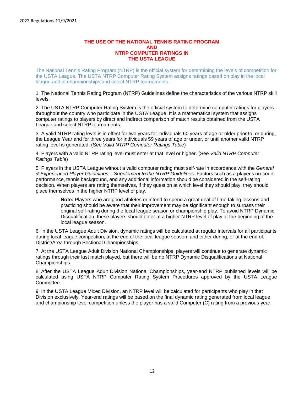#### **THE USE OF THE NATIONAL TENNIS RATING PROGRAM AND NTRP COMPUTER RATINGS IN THE USTA LEAGUE**

The National Tennis Rating Program (NTRP) is the official system for determining the levels of competition for the USTA League. The USTA NTRP Computer Rating System assigns ratings based on play in the local league and at championships and select NTRP tournaments.

1. The National Tennis Rating Program (NTRP) Guidelines define the characteristics of the various NTRP skill levels.

2. The USTA NTRP Computer Rating System is the official system to determine computer ratings for players throughout the country who participate in the USTA League. It is a mathematical system that assigns computer ratings to players by direct and indirect comparison of match results obtained from the USTA League and select NTRP tournaments.

3. A valid NTRP rating level is in effect for two years for individuals 60 years of age or older prior to, or during, the League Year and for three years for individuals 59 years of age or under, or until another valid NTRP rating level is generated. (See *Valid NTRP Computer Ratings Table*)

4. Players with a valid NTRP rating level must enter at that level or higher. (See *Valid NTRP Computer Ratings Table*)

5. Players in the USTA League without a valid computer rating must self-rate in accordance with the *General & Experienced Player Guidelines – Supplement to the NTRP Guidelines*. Factors such as a player's on-court performance, tennis background, and any additional information should be considered in the self-rating decision. When players are rating themselves, if they question at which level they should play, they should place themselves in the higher NTRP level of play.

> **Note:** Players who are good athletes or intend to spend a great deal of time taking lessons and practicing should be aware that their improvement may be significant enough to surpass their original self-rating during the local league season or championship play. To avoid NTRP Dynamic Disqualification, these players should enter at a higher NTRP level of play at the beginning of the local league season.

6. In the USTA League Adult Division, dynamic ratings will be calculated at regular intervals for all participants during local league competition, at the end of the local league season, and either during, or at the end of, District/Area through Sectional Championships.

7. At the USTA League Adult Division National Championships, players will continue to generate dynamic ratings through their last match played, but there will be no NTRP Dynamic Disqualifications at National Championships.

8. After the USTA League Adult Division National Championships, year-end NTRP published levels will be calculated using USTA NTRP Computer Rating System Procedures approved by the USTA League Committee.

9. In the USTA League Mixed Division, an NTRP level will be calculated for participants who play in that Division exclusively. Year-end ratings will be based on the final dynamic rating generated from local league and championship level competition unless the player has a valid Computer (C) rating from a previous year.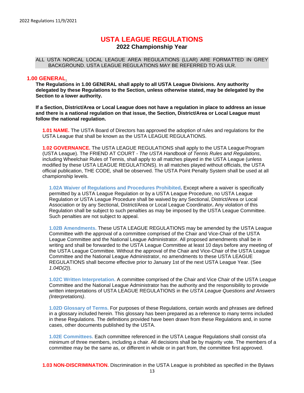## **USTA LEAGUE REGULATIONS**

**2022 Championship Year**

#### ALL USTA NORCAL LOCAL LEAGUE AREA REGULATIONS (LLAR) ARE FORMATTED IN GREY BACKGROUND. USTA LEAGUE REGULATIONS MAY BE REFERRED TO AS ULR.

#### <span id="page-12-0"></span>**1.00 GENERAL**.

**The Regulations in 1.00 GENERAL shall apply to all USTA League Divisions. Any authority delegated by these Regulations to the Section, unless otherwise stated, may be delegated by the Section to a lower authority.**

**If a Section, District/Area or Local League does not have a regulation in place to address an issue and there is a national regulation on that issue, the Section, District/Area or Local League must follow the national regulation.**

**1.01 NAME.** The USTA Board of Directors has approved the adoption of rules and regulations for the USTA League that shall be known as the USTA LEAGUE REGULATIONS.

**1.02 GOVERNANCE.** The USTA LEAGUE REGULATIONS shall apply to the USTA League Program (USTA League). The FRIEND AT COURT *- The USTA Handbook of Tennis Rules and Regulations*, including Wheelchair Rules of Tennis, shall apply to all matches played in the USTA League (unless modified by these USTA LEAGUE REGULATIONS). In all matches played without officials, the USTA official publication, THE CODE*,* shall be observed. The USTA Point Penalty System shall be used at all championship levels.

**1.02A Waiver of Regulations and Procedures Prohibited.** Except where a waiver is specifically permitted by a USTA League Regulation or by a USTA League Procedure, no USTA League Regulation or USTA League Procedure shall be waived by any Sectional, District/Area or Local Association or by any Sectional, District/Area or Local League Coordinator**.** Any violation of this Regulation shall be subject to such penalties as may be imposed by the USTA League Committee. Such penalties are not subject to appeal.

**1.02B Amendments.** These USTA LEAGUE REGULATIONS may be amended by the USTA League Committee with the approval of a committee comprised of the Chair and Vice-Chair of the USTA League Committee and the National League Administrator. All proposed amendments shall be in writing and shall be forwarded to the USTA League Committee at least 10 days before any meeting of the USTA League Committee. Without the approval of the Chair and Vice-Chair of the USTA League Committee and the National League Administrator, no amendments to these USTA LEAGUE REGULATIONS shall become effective prior to January 1st of the next USTA League Year. (See *1.04D(2)*).

**1.02C Written Interpretation.** A committee comprised of the Chair and Vice Chair of the USTA League Committee and the National League Administrator has the authority and the responsibility to provide written interpretations of USTA LEAGUE REGULATIONS in the *USTA League Questions and Answers (Interpretations)*.

**1.02D Glossary of Terms.** For purposes of these Regulations, certain words and phrases are defined in a glossary included herein. This glossary has been prepared as a reference to many terms included in these Regulations. The definitions provided have been drawn from these Regulations and, in some cases, other documents published by the USTA.

**1.02E Committees.** Each committee referenced in the USTA League Regulations shall consist ofa minimum of three members, including a chair. All decisions shall be by majority vote. The members of a committee may be the same as, or different in whole or in part from, the committee first approved.

**1.03 NON-DISCRIMINATION.** Discrimination in the USTA League is prohibited as specified in the Bylaws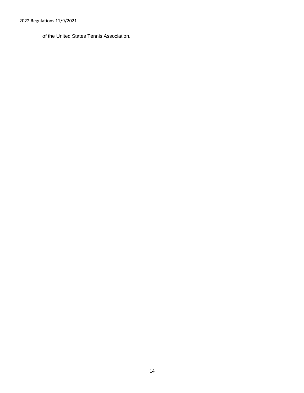2022 Regulations 11/9/2021

of the United States Tennis Association.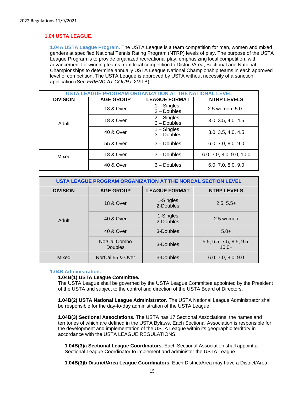#### **1.04 USTA LEAGUE.**

**1.04A USTA League Program.** The USTA League is a team competition for men, women and mixed genders at specified National Tennis Rating Program (NTRP) levels of play. The purpose of the USTA League Program is to provide organized recreational play, emphasizing local competition, with advancement for winning teams from local competition to District/Area, Sectional and National Championships to determine annually USTA League National Championship teams in each approved level of competition. The USTA League is approved by USTA without necessity of a sanction application (See *FRIEND AT COURT* XVII B).

| <b>USTA LEAGUE PROGRAM ORGANIZATION</b> |                      |                                |                          |  |  |
|-----------------------------------------|----------------------|--------------------------------|--------------------------|--|--|
| <b>DIVISION</b>                         | <b>AGE GROUP</b>     | <b>LEAGUE FORMAT</b>           | <b>NTRP LEVELS</b>       |  |  |
|                                         | <b>18 &amp; Over</b> | $1 -$ Singles<br>$2 -$ Doubles | 2.5 women, 5.0           |  |  |
| Adult                                   | <b>18 &amp; Over</b> | $2 -$ Singles<br>$3 -$ Doubles | 3.0, 3.5, 4.0, 4.5       |  |  |
|                                         | 40 & Over            | $1 -$ Singles<br>$3 -$ Doubles | 3.0, 3.5, 4.0, 4.5       |  |  |
|                                         | 55 & Over            | $3 -$ Doubles                  | 6.0, 7.0, 8.0, 9.0       |  |  |
| Mixed                                   | <b>18 &amp; Over</b> | $3 -$ Doubles                  | 6.0, 7.0, 8.0, 9.0, 10.0 |  |  |
|                                         | 40 & Over            | $3 -$ Doubles                  | 6.0, 7.0, 8.0, 9.0       |  |  |

| USTA LEAGUE PROGRAM ORGANIZATION AT THE NORCAL SECTION LEVEL |                                |                        |                                     |  |  |
|--------------------------------------------------------------|--------------------------------|------------------------|-------------------------------------|--|--|
| <b>DIVISION</b>                                              | <b>AGE GROUP</b>               | <b>LEAGUE FORMAT</b>   | <b>NTRP LEVELS</b>                  |  |  |
|                                                              | <b>18 &amp; Over</b>           | 1-Singles<br>2-Doubles | $2.5, 5.5+$                         |  |  |
| Adult                                                        | 40 & Over                      | 1-Singles<br>2-Doubles | 2.5 women                           |  |  |
|                                                              | 40 & Over                      | 3-Doubles              | $5.0+$                              |  |  |
|                                                              | NorCal Combo<br><b>Doubles</b> | 3-Doubles              | 5.5, 6.5, 7.5, 8.5, 9.5,<br>$10.0+$ |  |  |
| Mixed                                                        | NorCal 55 & Over               | 3-Doubles              | 6.0, 7.0, 8.0, 9.0                  |  |  |

#### **1.04B Administration.**

#### **1.04B(1) USTA League Committee.**

The USTA League shall be governed by the USTA League Committee appointed by the President of the USTA and subject to the control and direction of the USTA Board of Directors.

**1.04B(2) USTA National League Administrator.** The USTA National League Administrator shall be responsible for the day-to-day administration of the USTA League.

**1.04B(3) Sectional Associations.** The USTA has 17 Sectional Associations, the names and territories of which are defined in the USTA Bylaws. Each Sectional Association is responsible for the development and implementation of the USTA League within its geographic territory in accordance with the USTA LEAGUE REGULATIONS.

**1.04B(3)a Sectional League Coordinators.** Each Sectional Association shall appoint a Sectional League Coordinator to implement and administer the USTA League.

**1.04B(3)b District/Area League Coordinators.** Each District/Area may have a District/Area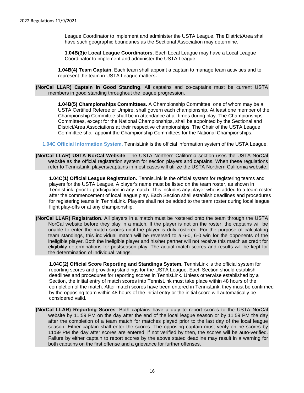League Coordinator to implement and administer the USTA League. The District/Area shall have such geographic boundaries as the Sectional Association may determine.

**1.04B(3)c Local League Coordinators.** Each Local League may have a Local League Coordinator to implement and administer the USTA League.

**1.04B(4) Team Captain.** Each team shall appoint a captain to manage team activities and to represent the team in USTA League matters**.**

<span id="page-15-0"></span>**(NorCal LLAR) Captain in Good Standing**. All captains and co-captains must be current USTA members in good standing throughout the league progression.

**1.04B(5) Championships Committees.** A Championship Committee, one of whom may be a USTA Certified Referee or Umpire, shall govern each championship. At least one member of the Championship Committee shall be in attendance at all times during play. The Championships Committees, except for the National Championships, shall be appointed by the Sectional and District/Area Associations at their respective championships. The Chair of the USTA League Committee shall appoint the Championship Committees for the National Championships.

**1.04C Official Information System.** TennisLink is the official information system of the USTA League.

<span id="page-15-1"></span>**(NorCal LLAR) USTA NorCal Website**. The USTA Northern California section uses the USTA NorCal website as the official registration system for section players and captains. When these regulations refer to TennisLink, players/captains in most cases will utilize the USTA Northern California website.

**1.04C(1) Official League Registration.** TennisLink is the official system for registering teams and players for the USTA League. A player's name must be listed on the team roster, as shown in TennisLink, prior to participation in any match. This includes any player who is added to a team roster after the commencement of local league play. Each Section shall establish deadlines and procedures for registering teams in TennisLink. Players shall not be added to the team roster during local league flight play-offs or at any championship.

<span id="page-15-2"></span>**(NorCal LLAR) Registration**. All players in a match must be rostered onto the team through the USTA NorCal website before they play in a match. If the player is not on the roster, the captains will be unable to enter the match scores until the player is duly rostered. For the purpose of calculating team standings, this individual match will be reversed to a 6-0, 6-0 win for the opponents of the ineligible player. Both the ineligible player and his/her partner will not receive this match as credit for eligibility determinations for postseason play. The actual match scores and results will be kept for the determination of individual ratings.

**1.04C(2) Official Score Reporting and Standings System.** TennisLink is the official system for reporting scores and providing standings for the USTA League. Each Section should establish deadlines and procedures for reporting scores in TennisLink. Unless otherwise established by a Section, the initial entry of match scores into TennisLink must take place within 48 hours of the completion of the match. After match scores have been entered in TennisLink, they must be confirmed by the opposing team within 48 hours of the initial entry or the initial score will automatically be considered valid.

<span id="page-15-3"></span>**(NorCal LLAR) Reporting Scores**. Both captains have a duty to report scores to the USTA NorCal website by 11:59 PM on the day after the end of the local league season or by 11:59 PM the day after the completion of a team match for matches played prior to the last day of the local league season. Either captain shall enter the scores. The opposing captain must verify online scores by 11:59 PM the day after scores are entered; if not verified by then, the scores will be auto-verified. Failure by either captain to report scores by the above stated deadline may result in a warning for both captains on the first offense and a grievance for further offenses.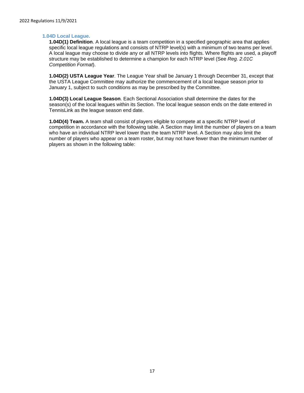#### **1.04D Local League.**

**1.04D(1) Definition**. A local league is a team competition in a specified geographic area that applies specific local league regulations and consists of NTRP level(s) with a minimum of two teams per level. A local league may choose to divide any or all NTRP levels into flights. Where flights are used, a playoff structure may be established to determine a champion for each NTRP level (See *Reg. 2.01C Competition Format*).

**1.04D(2) USTA League Year**. The League Year shall be January 1 through December 31, except that the USTA League Committee may authorize the commencement of a local league season prior to January 1, subject to such conditions as may be prescribed by the Committee.

**1.04D(3) Local League Season**. Each Sectional Association shall determine the dates for the season(s) of the local leagues within its Section. The local league season ends on the date entered in TennisLink as the league season end date.

**1.04D(4) Team.** A team shall consist of players eligible to compete at a specific NTRP level of competition in accordance with the following table. A Section may limit the number of players on a team who have an individual NTRP level lower than the team NTRP level. A Section may also limit the number of players who appear on a team roster, but may not have fewer than the minimum number of players as shown in the following table: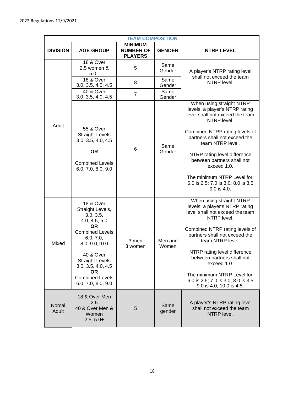|                 | <b>TEAM COMPOSITION</b>                                                                                                                                                                                                                                                |                                                      |                  |                                                                                                                                                                                                                                                                                                                                                                                   |  |  |  |
|-----------------|------------------------------------------------------------------------------------------------------------------------------------------------------------------------------------------------------------------------------------------------------------------------|------------------------------------------------------|------------------|-----------------------------------------------------------------------------------------------------------------------------------------------------------------------------------------------------------------------------------------------------------------------------------------------------------------------------------------------------------------------------------|--|--|--|
| <b>DIVISION</b> | <b>AGE GROUP</b>                                                                                                                                                                                                                                                       | <b>MINIMUM</b><br><b>NUMBER OF</b><br><b>PLAYERS</b> | <b>GENDER</b>    | <b>NTRP LEVEL</b>                                                                                                                                                                                                                                                                                                                                                                 |  |  |  |
|                 | 18 & Over<br>2.5 women &<br>5.0                                                                                                                                                                                                                                        | 5                                                    | Same<br>Gender   | A player's NTRP rating level                                                                                                                                                                                                                                                                                                                                                      |  |  |  |
|                 | <b>18 &amp; Over</b><br>3.0, 3.5, 4.0, 4.5                                                                                                                                                                                                                             | 8                                                    | Same<br>Gender   | shall not exceed the team<br>NTRP level.                                                                                                                                                                                                                                                                                                                                          |  |  |  |
|                 | $\overline{40}$ & Over<br>3.0, 3.5, 4.0, 4.5                                                                                                                                                                                                                           | $\overline{7}$                                       | Same<br>Gender   |                                                                                                                                                                                                                                                                                                                                                                                   |  |  |  |
| Adult           | 55 & Over<br><b>Straight Levels</b><br>3.0, 3.5, 4.0, 4.5<br><b>OR</b><br><b>Combined Levels</b><br>6.0, 7.0, 8.0, 9.0                                                                                                                                                 | 6                                                    | Same<br>Gender   | When using straight NTRP<br>levels, a player's NTRP rating<br>level shall not exceed the team<br>NTRP level.<br>Combined NTRP rating levels of<br>partners shall not exceed the<br>team NTRP level.<br>NTRP rating level difference<br>between partners shall not<br>exceed 1.0.<br>The minimum NTRP Level for:<br>6.0 is 2.5; 7.0 is 3.0; 8.0 is 3.5<br>$9.0$ is $4.0$ .         |  |  |  |
| Mixed           | <b>18 &amp; Over</b><br>Straight Levels,<br>3.0, 3.5,<br>4.0, 4.5, 5.0<br><b>OR</b><br><b>Combined Levels</b><br>6.0, 7.0,<br>8.0, 9.0, 10.0<br>40 & Over<br><b>Straight Levels</b><br>3.0, 3.5, 4.0, 4.5<br><b>OR</b><br><b>Combined Levels</b><br>6.0, 7.0, 8.0, 9.0 | 3 men<br>3 women                                     | Men and<br>Women | When using straight NTRP<br>levels, a player's NTRP rating<br>level shall not exceed the team<br>NTRP level.<br>Combined NTRP rating levels of<br>partners shall not exceed the<br>team NTRP level.<br>NTRP rating level difference<br>between partners shall not<br>exceed 1.0.<br>The minimum NTRP Level for:<br>6.0 is 2.5; 7.0 is 3.0; 8.0 is 3.5<br>9.0 is 4.0; 10.0 is 4.5. |  |  |  |
| Norcal<br>Adult | 18 & Over Men<br>2.5<br>40 & Over Men &<br>Women<br>$2.5, 5.0+$                                                                                                                                                                                                        | 5                                                    | Same<br>gender   | A player's NTRP rating level<br>shall not exceed the team<br>NTRP level.                                                                                                                                                                                                                                                                                                          |  |  |  |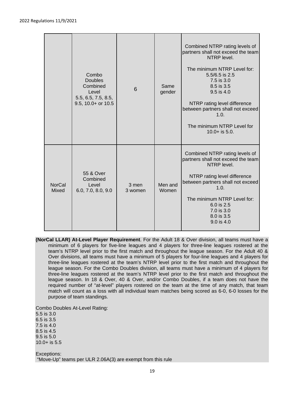|                               | Combo<br><b>Doubles</b><br>Combined<br>Level<br>5.5, 6.5, 7.5, 8.5,<br>9.5, 10.0+ or 10.5 | 6                | Same<br>gender   | Combined NTRP rating levels of<br>partners shall not exceed the team<br>NTRP level.<br>The minimum NTRP Level for:<br>5.5/6.5 is 2.5<br>7.5 is 3.0<br>8.5 is 3.5<br>$9.5$ is 4.0<br>NTRP rating level difference<br>between partners shall not exceed<br>1.0.<br>The minimum NTRP Level for<br>$10.0 +$ is 5.0. |
|-------------------------------|-------------------------------------------------------------------------------------------|------------------|------------------|-----------------------------------------------------------------------------------------------------------------------------------------------------------------------------------------------------------------------------------------------------------------------------------------------------------------|
| <b>NorCal</b><br><b>Mixed</b> | 55 & Over<br>Combined<br>Level<br>6.0, 7.0, 8.0, 9.0                                      | 3 men<br>3 women | Men and<br>Women | Combined NTRP rating levels of<br>partners shall not exceed the team<br>NTRP level.<br>NTRP rating level difference<br>between partners shall not exceed<br>1.0.<br>The minimum NTRP Level for:<br>6.0 is 2.5<br>7.0 is 3.0<br>8.0 is 3.5<br>9.0 is 4.0                                                         |

<span id="page-18-0"></span>**(NorCal LLAR) At-Level Player Requirement**. For the Adult 18 & Over division, all teams must have a minimum of 6 players for five-line leagues and 4 players for three-line leagues rostered at the team's NTRP level prior to the first match and throughout the league season. For the Adult 40 & Over divisions, all teams must have a minimum of 5 players for four-line leagues and 4 players for three-line leagues rostered at the team's NTRP level prior to the first match and throughout the league season. For the Combo Doubles division, all teams must have a minimum of 4 players for three-line leagues rostered at the team's NTRP level prior to the first match and throughout the league season. In 18 & Over, 40 & Over, and/or Combo Doubles, if a team does not have the required number of "at-level" players rostered on the team at the time of any match, that team match will count as a loss with all individual team matches being scored as 6-0, 6-0 losses for the purpose of team standings.

Combo Doubles At-Level Rating: 5.5 is 3.0

6.5 is 3.5 7.5 is 4.0 8.5 is 4.5 9.5 is 5.0 10.0+ is 5.5

Exceptions: "Move-Up" teams per ULR 2.06A(3) are exempt from this rule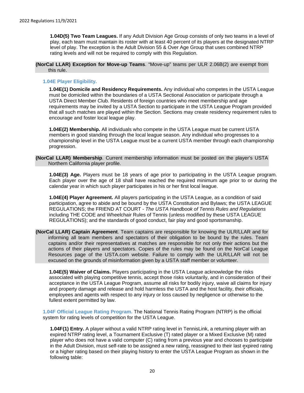**1.04D(5) Two Team Leagues.** If any Adult Division Age Group consists of only two teams in a level of play, each team must maintain its roster with at least 40 percent of its players at the designated NTRP level of play. The exception is the Adult Division 55 & Over Age Group that uses combined NTRP rating levels and will not be required to comply with this Regulation.

<span id="page-19-0"></span>**(NorCal LLAR) Exception for Move-up Teams**. "Move-up" teams per ULR 2.06B(2) are exempt from this rule.

#### **1.04E Player Eligibility.**

**1.04E(1) Domicile and Residency Requirements.** Any individual who competes in the USTA League must be domiciled within the boundaries of a USTA Sectional Association or participate through a USTA Direct Member Club. Residents of foreign countries who meet membership and age requirements may be invited by a USTA Section to participate in the USTA League Program provided that all such matches are played within the Section. Sections may create residency requirement rules to encourage and foster local league play.

**1.04E(2) Membership.** All individuals who compete in the USTA League must be current USTA members in good standing through the local league season. Any individual who progresses to a championship level in the USTA League must be a current USTA member through each championship progression.

<span id="page-19-1"></span>**(NorCal LLAR) Membership**. Current membership information must be posted on the player's USTA Northern California player profile.

**1.04E(3) Age.** Players must be 18 years of age prior to participating in the USTA League program. Each player over the age of 18 shall have reached the required minimum age prior to or during the calendar year in which such player participates in his or her first local league.

**1.04E(4) Player Agreement.** All players participating in the USTA League, as a condition of said participation, agree to abide and be bound by the USTA Constitution and Bylaws; the USTA LEAGUE REGULATIONS; the FRIEND AT COURT - *The USTA Handbook of Tennis Rules and Regulations*  including THE CODE and Wheelchair Rules of Tennis (unless modified by these USTA LEAGUE REGULATIONS); and the standards of good conduct, fair play and good sportsmanship.

<span id="page-19-2"></span>**(NorCal LLAR) Captain Agreement**. Team captains are responsible for knowing the ULR/LLAR and for informing all team members and spectators of their obligation to be bound by the rules. Team captains and/or their representatives at matches are responsible for not only their actions but the actions of their players and spectators. Copies of the rules may be found on the NorCal League Resources page of the USTA.com website. Failure to comply with the ULR/LLAR will not be excused on the grounds of misinformation given by a USTA staff member or volunteer.

**1.04E(5) Waiver of Claims.** Players participating in the USTA League acknowledge the risks associated with playing competitive tennis, accept those risks voluntarily, and in consideration of their acceptance in the USTA League Program, assume all risks for bodily injury, waive all claims for injury and property damage and release and hold harmless the USTA and the host facility, their officials, employees and agents with respect to any injury or loss caused by negligence or otherwise to the fullest extent permitted by law.

**1.04F Official League Rating Program.** The National Tennis Rating Program (NTRP) is the official system for rating levels of competition for the USTA League.

**1.04F(1) Entry.** A player without a valid NTRP rating level in TennisLink, a returning player with an expired NTRP rating level, a Tournament Exclusive (T) rated player or a Mixed Exclusive (M) rated player who does not have a valid computer (C) rating from a previous year and chooses to participate in the Adult Division, must self-rate to be assigned a new rating, reassigned to their last expired rating or a higher rating based on their playing history to enter the USTA League Program as shown in the following table: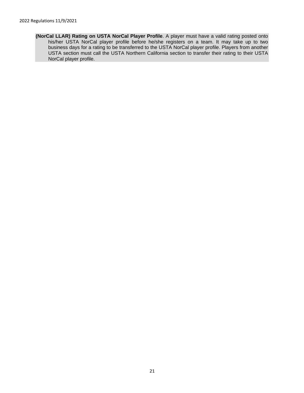<span id="page-20-0"></span>**(NorCal LLAR) Rating on USTA NorCal Player Profile**. A player must have a valid rating posted onto his/her USTA NorCal player profile before he/she registers on a team. It may take up to two business days for a rating to be transferred to the USTA NorCal player profile. Players from another USTA section must call the USTA Northern California section to transfer their rating to their USTA NorCal player profile.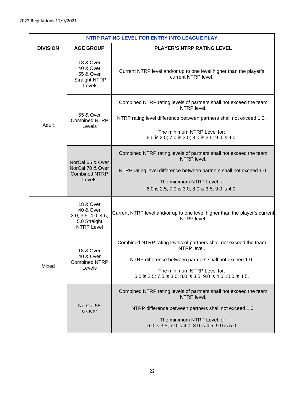| NTRP RATING LEVEL FOR ENTRY INTO LEAGUE PLAY |                                                                                    |                                                                                                                                                                                                                                           |  |  |  |
|----------------------------------------------|------------------------------------------------------------------------------------|-------------------------------------------------------------------------------------------------------------------------------------------------------------------------------------------------------------------------------------------|--|--|--|
| <b>DIVISION</b>                              | <b>AGE GROUP</b>                                                                   | <b>PLAYER'S NTRP RATING LEVEL</b>                                                                                                                                                                                                         |  |  |  |
|                                              | <b>18 &amp; Over</b><br>40 & Over<br>55 & Over<br><b>Straight NTRP</b><br>Levels   | Current NTRP level and/or up to one level higher than the player's<br>current NTRP level.                                                                                                                                                 |  |  |  |
| Adult                                        | 55 & Over<br><b>Combined NTRP</b><br>Levels                                        | Combined NTRP rating levels of partners shall not exceed the team<br>NTRP level.<br>NTRP rating level difference between partners shall not exceed 1.0.<br>The minimum NTRP Level for:<br>6.0 is 2.5; 7.0 is 3.0; 8.0 is 3.5; 9.0 is 4.0. |  |  |  |
|                                              | NorCal 65 & Over<br>NorCal 70 & Over<br><b>Combined NTRP</b><br>Levels             | Combined NTRP rating levels of partners shall not exceed the team<br>NTRP level.<br>NTRP rating level difference between partners shall not exceed 1.0.<br>The minimum NTRP Level for:<br>6.0 is 2.5; 7.0 is 3.0; 8.0 is 3.5; 9.0 is 4.0. |  |  |  |
|                                              | 18 & Over<br>40 & Over<br>3.0, 3.5, 4.0, 4.5,<br>5.0 Straight<br><b>NTRP Level</b> | Current NTRP level and/or up to one level higher than the player's current<br>NTRP level.                                                                                                                                                 |  |  |  |
| Mixed                                        | 18 & Over<br><b>40 &amp; Over</b><br><b>Combined NTRP</b><br>Levels                | Combined NTRP rating levels of partners shall not exceed the team<br>NTRP level.<br>NTRP difference between partners shall not exceed 1.0.<br>The minimum NTRP Level for:<br>6.0 is 2.5; 7.0 is 3.0; 8.0 is 3.5; 9.0 is 4.0; 10.0 is 4.5. |  |  |  |
|                                              | NorCal 55<br>& Over                                                                | Combined NTRP rating levels of partners shall not exceed the team<br>NTRP level.<br>NTRP difference between partners shall not exceed 1.0.<br>The minimum NTRP Level for:<br>6.0 is 3.5; 7.0 is 4.0; 8.0 is 4.5; 9.0 is 5.0               |  |  |  |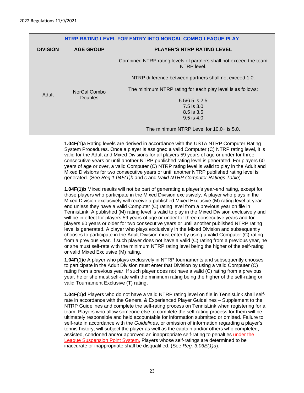| NTRP RATING LEVEL FOR ENTRY INTO NORCAL COMBO LEAGUE PLAY |                  |                                                                                  |  |  |
|-----------------------------------------------------------|------------------|----------------------------------------------------------------------------------|--|--|
| <b>DIVISION</b>                                           | <b>AGE GROUP</b> | <b>PLAYER'S NTRP RATING LEVEL</b>                                                |  |  |
| Adult                                                     |                  | Combined NTRP rating levels of partners shall not exceed the team<br>NTRP level. |  |  |
|                                                           |                  | NTRP difference between partners shall not exceed 1.0.                           |  |  |
|                                                           | NorCal Combo     | The minimum NTRP rating for each play level is as follows:                       |  |  |
|                                                           | <b>Doubles</b>   | $5.5/6.5$ is 2.5<br>7.5 is 3.0<br>8.5 is 3.5<br>$9.5$ is 4.0                     |  |  |
|                                                           |                  | The minimum NTRP Level for 10.0+ is 5.0.                                         |  |  |

**1.04F(1)a** Rating levels are derived in accordance with the USTA NTRP Computer Rating System Procedures. Once a player is assigned a valid Computer (C) NTRP rating level, it is valid for the Adult and Mixed Divisions for all players 59 years of age or under for three consecutive years or until another NTRP published rating level is generated. For players 60 years of age or over, a valid Computer (C) NTRP rating level is valid to play in the Adult and Mixed Divisions for two consecutive years or until another NTRP published rating level is generated. (See *Reg.1.04F(1)b* and *c* and *Valid NTRP Computer Ratings Table*).

**1.04F(1)b** Mixed results will not be part of generating a player's year-end rating, except for those players who participate in the Mixed Division exclusively. A player who plays in the Mixed Division exclusively will receive a published Mixed Exclusive (M) rating level at yearend unless they have a valid Computer (C) rating level from a previous year on file in TennisLink. A published (M) rating level is valid to play in the Mixed Division exclusively and will be in effect for players 59 years of age or under for three consecutive years and for players 60 years or older for two consecutive years or until another published NTRP rating level is generated. A player who plays exclusively in the Mixed Division and subsequently chooses to participate in the Adult Division must enter by using a valid Computer (C) rating from a previous year. If such player does not have a valid (C) rating from a previous year, he or she must self-rate with the minimum NTRP rating level being the higher of the self-rating or valid Mixed Exclusive (M) rating.

**1.04F(1)c** A player who plays exclusively in NTRP tournaments and subsequently chooses to participate in the Adult Division must enter that Division by using a valid Computer (C) rating from a previous year. If such player does not have a valid (C) rating from a previous year, he or she must self-rate with the minimum rating being the higher of the self-rating or valid Tournament Exclusive (T) rating.

**1.04F(1)d** Players who do not have a valid NTRP rating level on file in TennisLink shall selfrate in accordance with the General & Experienced Player Guidelines – Supplement to the NTRP Guidelines and complete the self-rating process on TennisLink when registering for a team. Players who allow someone else to complete the self-rating process for them will be ultimately responsible and held accountable for information submitted or omitted. Failure to self-rate in accordance with the *Guidelines*, or omission of information regarding a player's tennis history, will subject the player as well as the captain and/or others who completed, assisted, condoned and/or approved an inappropriate self-rating to penalties under the League Suspension Point System. Players whose self-ratings are determined to be inaccurate or inappropriate shall be disqualified. (See *Reg. 3.03E(1)a*).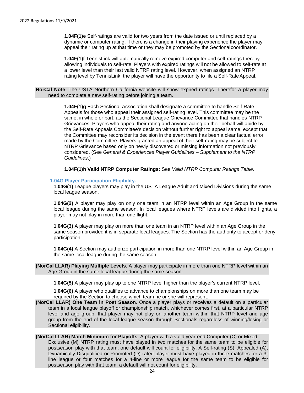**1.04F(1)e** Self-ratings are valid for two years from the date issued or until replaced by a dynamic or computer rating. If there is a change in their playing experience the player may appeal their rating up at that time or they may be promoted by the Sectionalcoordinator.

**1.04F(1)f** TennisLink will automatically remove expired computer and self-ratings thereby allowing individuals to self-rate. Players with expired ratings will not be allowed to self-rate at a lower level than their last valid NTRP rating level. However, when assigned an NTRP rating level by TennisLink, the player will have the opportunity to file a Self-Rate Appeal.

**NorCal Note**. The USTA Northern California website will show expired ratings. Therefor a player may need to complete a new self-rating before joining a team.

> **1.04F(1)g** Each Sectional Association shall designate a committee to handle Self-Rate Appeals for those who appeal their assigned self-rating level. This committee may be the same, in whole or part, as the Sectional League Grievance Committee that handles NTRP Grievances. Players who appeal their rating and anyone acting on their behalf will abide by the Self-Rate Appeals Committee's decision without further right to appeal same, except that the Committee may reconsider its decision in the event there has been a clear factual error made by the Committee. Players granted an appeal of their self-rating may be subject to NTRP Grievance based only on newly discovered or missing information not previously considered. (See *General & Experiences Player Guidelines – Supplement to the NTRP Guidelines*.)

**1.04F(1)h Valid NTRP Computer Ratings:** See *Valid NTRP Computer Ratings Table*.

#### **1.04G Player Participation Eligibility.**

**1.04G(1)** League players may play in the USTA League Adult and Mixed Divisions during the same local league season.

**1.04G(2)** A player may play on only one team in an NTRP level within an Age Group in the same local league during the same season. In local leagues where NTRP levels are divided into flights, a player may not play in more than one flight.

**1.04G(3)** A player may play on more than one team in an NTRP level within an Age Group in the same season provided it is in separate local leagues. The Section has the authority to accept or deny participation.

**1.04G(4)** A Section may authorize participation in more than one NTRP level within an Age Group in the same local league during the same season.

<span id="page-23-0"></span>**(NorCal LLAR) Playing Multiple Levels**. A player may participate in more than one NTRP level within an Age Group in the same local league during the same season.

**1.04G(5)** A player may play up to one NTRP level higher than the player's current NTRP level**.**

**1.04G(6)** A player who qualifies to advance to championships on more than one team may be required by the Section to choose which team he or she will represent.

- <span id="page-23-1"></span>**(NorCal LLAR) One Team in Post Season**. Once a player plays or receives a default on a particular team in a local league playoff or championship match, whichever comes first, at a particular NTRP level and age group, that player may not play on another team within that NTRP level and age group from the end of the local league season through Sectionals regardless of winning/losing or Sectional eligibility.
- <span id="page-23-2"></span>**(NorCal LLAR) Match Minimum for Playoffs**. A player with a valid year-end Computer (C) or Mixed Exclusive (M) NTRP rating must have played in two matches for the same team to be eligible for postseason play with that team; one default will count for eligibility. A Self-rating (S), Appealed (A), Dynamically Disqualified or Promoted (D) rated player must have played in three matches for a 3 line league or four matches for a 4-line or more league for the same team to be eligible for postseason play with that team; a default will not count for eligibility.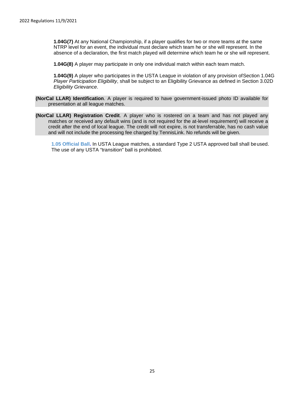**1.04G(7)** At any National Championship, if a player qualifies for two or more teams at the same NTRP level for an event, the individual must declare which team he or she will represent. In the absence of a declaration, the first match played will determine which team he or she will represent.

**1.04G(8)** A player may participate in only one individual match within each team match.

**1.04G(9)** A player who participates in the USTA League in violation of any provision ofSection 1.04G *Player Participation Eligibility*, shall be subject to an Eligibility Grievance as defined in Section 3.02D *Eligibility Grievance*.

- <span id="page-24-0"></span>**(NorCal LLAR) Identification**. A player is required to have government-issued photo ID available for presentation at all league matches.
- <span id="page-24-1"></span>**(NorCal LLAR) Registration Credit**. A player who is rostered on a team and has not played any matches or received any default wins (and is not required for the at-level requirement) will receive a credit after the end of local league. The credit will not expire, is not transferrable, has no cash value and will not include the processing fee charged by TennisLink. No refunds will be given.

**1.05 Official Ball.** In USTA League matches, a standard Type 2 USTA approved ball shall beused. The use of any USTA "transition" ball is prohibited.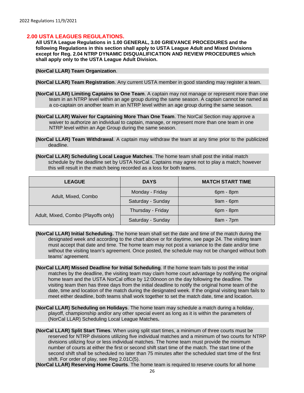#### <span id="page-25-0"></span>**2.00 USTA LEAGUES REGULATIONS.**

**All USTA League Regulations in 1.00 GENERAL, 3.00 GRIEVANCE PROCEDURES and the following Regulations in this section shall apply to USTA League Adult and Mixed Divisions except for Reg. 2.04 NTRP DYNAMIC DISQUALIFICATION AND REVIEW PROCEDURES which shall apply only to the USTA League Adult Division.**

<span id="page-25-1"></span>**(NorCal LLAR) Team Organization**.

<span id="page-25-2"></span>**(NorCal LLAR) Team Registration**. Any current USTA member in good standing may register a team.

- <span id="page-25-3"></span>**(NorCal LLAR) Limiting Captains to One Team**. A captain may not manage or represent more than one team in an NTRP level within an age group during the same season. A captain cannot be named as a co-captain on another team in an NTRP level within an age group during the same season.
- <span id="page-25-4"></span>**(NorCal LLAR) Waiver for Captaining More Than One Team**. The NorCal Section may approve a waiver to authorize an individual to captain, manage, or represent more than one team in one NTRP level within an Age Group during the same season.
- <span id="page-25-5"></span>**(NorCal LLAR) Team Withdrawal**. A captain may withdraw the team at any time prior to the publicized deadline.

<span id="page-25-6"></span>**(NorCal LLAR) Scheduling Local League Matches**. The home team shall post the initial match schedule by the deadline set by USTA NorCal. Captains may agree not to play a match; however this will result in the match being recorded as a loss for both teams.

| <b>LEAGUE</b>                       | <b>DAYS</b>       |             |
|-------------------------------------|-------------------|-------------|
| Adult, Mixed, Combo                 | Monday - Friday   | 6pm - 8pm   |
|                                     | Saturday - Sunday | $9am - 6pm$ |
|                                     | Thursday - Friday | 6pm - 8pm   |
| Adult, Mixed, Combo (Playoffs only) | Saturday - Sunday | 8am - 7pm   |

- <span id="page-25-7"></span>**(NorCal LLAR) Initial Scheduling.** The home team shall set the date and time of the match during the designated week and according to the chart above or for daytime, see page 24. The visiting team must accept that date and time. The home team may not post a variance to the date and/or time without the visiting team's agreement. Once posted, the schedule may not be changed without both teams' agreement.
- <span id="page-25-8"></span>**(NorCal LLAR) Missed Deadline for Initial Scheduling**. If the home team fails to post the initial matches by the deadline, the visiting team may claim home court advantage by notifying the original home team and the USTA NorCal office by 12:00noon on the day following the deadline. The visiting team then has three days from the initial deadline to notify the original home team of the date, time and location of the match during the designated week. If the original visiting team fails to meet either deadline, both teams shall work together to set the match date, time and location.
- <span id="page-25-9"></span>**(NorCal LLAR) Scheduling on Holidays**. The home team may schedule a match during a holiday, playoff, championship and/or any other special event as long as it is within the parameters of (NorCal LLAR) Scheduling Local League Matches**.**
- <span id="page-25-10"></span>**(NorCal LLAR) Split Start Times**. When using split start times, a minimum of three courts must be reserved for NTRP divisions utilizing five individual matches and a minimum of two courts for NTRP divisions utilizing four or less individual matches. The home team must provide the minimum number of courts at either the first or second shift start time of the match. The start time of the second shift shall be scheduled no later than 75 minutes after the scheduled start time of the first shift. For order of play, see Reg 2.01C(5).

<span id="page-25-11"></span>**(NorCal LLAR) Reserving Home Courts**. The home team is required to reserve courts for all home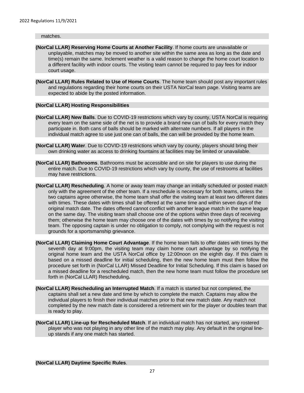#### matches.

- <span id="page-26-0"></span>**(NorCal LLAR) Reserving Home Courts at Another Facility**. If home courts are unavailable or unplayable, matches may be moved to another site within the same area as long as the date and time(s) remain the same. Inclement weather is a valid reason to change the home court location to a different facility with indoor courts. The visiting team cannot be required to pay fees for indoor court usage.
- <span id="page-26-1"></span>**(NorCal LLAR) Rules Related to Use of Home Courts**. The home team should post any important rules and regulations regarding their home courts on their USTA NorCal team page. Visiting teams are expected to abide by the posted information.

#### <span id="page-26-2"></span>**(NorCal LLAR) Hosting Responsibilities**

- <span id="page-26-3"></span>**(NorCal LLAR) New Balls**. Due to COVID-19 restrictions which vary by county, USTA NorCal is requiring every team on the same side of the net is to provide a brand new can of balls for every match they participate in. Both cans of balls should be marked with alternate numbers. If all players in the individual match agree to use just one can of balls, the can will be provided by the home team.
- <span id="page-26-4"></span>**(NorCal LLAR) Water**. Due to COVID-19 restrictions which vary by county, players should bring their own drinking water as access to drinking fountains at facilities may be limited or unavailable.
- <span id="page-26-5"></span>**(NorCal LLAR) Bathrooms**. Bathrooms must be accessible and on site for players to use during the entire match. Due to COVID-19 restrictions which vary by county, the use of restrooms at facilities may have restrictions.
- <span id="page-26-6"></span>**(NorCal LLAR) Rescheduling**. A home or away team may change an initially scheduled or posted match only with the agreement of the other team. If a reschedule is necessary for both teams, unless the two captains agree otherwise, the home team shall offer the visiting team at least two different dates with times. These dates with times shall be offered at the same time and within seven days of the original match date. The dates offered cannot conflict with another league match in the same league on the same day. The visiting team shall choose one of the options within three days of receiving them; otherwise the home team may choose one of the dates with times by so notifying the visiting team. The opposing captain is under no obligation to comply, not complying with the request is not grounds for a sportsmanship grievance.
- <span id="page-26-7"></span>**(NorCal LLAR) Claiming Home Court Advantage**. If the home team fails to offer dates with times by the seventh day at 9:00pm, the visiting team may claim home court advantage by so notifying the original home team and the USTA NorCal office by 12:00noon on the eighth day. If this claim is based on a missed deadline for initial scheduling, then the new home team must then follow the procedure set forth in (NorCal LLAR) Missed Deadline for Initial Scheduling. If this claim is based on a missed deadline for a rescheduled match, then the new home team must follow the procedure set forth in (NorCal LLAR) Rescheduling**.**
- <span id="page-26-8"></span>**(NorCal LLAR) Rescheduling an Interrupted Match**. If a match is started but not completed, the captains shall set a new date and time by which to complete the match. Captains may allow the individual players to finish their individual matches prior to that new match date. Any match not completed by the new match date is considered a retirement win for the player or doubles team that is ready to play.
- <span id="page-26-10"></span><span id="page-26-9"></span>**(NorCal LLAR) Line-up for Rescheduled Match**. If an individual match has not started, any rostered player who was not playing in any other line of the match may play. Any default in the original lineup stands if any one match has started.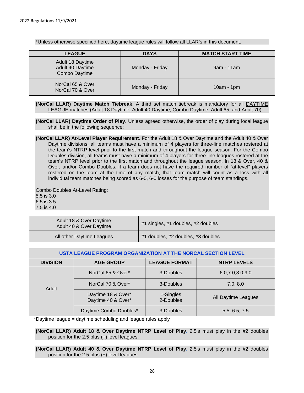\*Unless otherwise specified here, daytime league rules will follow all LLAR's in this document.

| <b>LEAGUE</b>                                         | <b>DAYS</b>     | <b>MATCH START TIME</b> |
|-------------------------------------------------------|-----------------|-------------------------|
| Adult 18 Daytime<br>Adult 40 Daytime<br>Combo Daytime | Monday - Friday | 9am - 11am              |
| NorCal 65 & Over<br>NorCal 70 & Over                  | Monday - Friday | $10am - 1pm$            |

<span id="page-27-0"></span>**(NorCal LLAR) Daytime Match Tiebreak**. A third set match tiebreak is mandatory for all DAYTIME LEAGUE matches (Adult 18 Daytime, Adult 40 Daytime, Combo Daytime, Adult 65, and Adult 70)

<span id="page-27-1"></span>**(NorCal LLAR) Daytime Order of Play**. Unless agreed otherwise, the order of play during local league shall be in the following sequence:

<span id="page-27-2"></span>**(NorCal LLAR) At-Level Player Requirement**. For the Adult 18 & Over Daytime and the Adult 40 & Over Daytime divisions, all teams must have a minimum of 4 players for three-line matches rostered at the team's NTRP level prior to the first match and throughout the league season. For the Combo Doubles division, all teams must have a minimum of 4 players for three-line leagues rostered at the team's NTRP level prior to the first match and throughout the league season. In 18 & Over, 40 & Over, and/or Combo Doubles, if a team does not have the required number of "at-level" players rostered on the team at the time of any match, that team match will count as a loss with all individual team matches being scored as 6-0, 6-0 losses for the purpose of team standings.

Combo Doubles At-Level Rating: 5.5 is 3.0 6.5 is 3.5 7.5 is 4.0

| Adult 18 & Over Daytime<br>Adult 40 & Over Daytime | #1 singles, #1 doubles, #2 doubles |
|----------------------------------------------------|------------------------------------|
| All other Daytime Leagues                          | #1 doubles, #2 doubles, #3 doubles |

| USTA LEAGUE PROGRAM ORGANIZATION AT THE NORCAL SECTION LEVEL |                                          |                        |                     |  |  |
|--------------------------------------------------------------|------------------------------------------|------------------------|---------------------|--|--|
| <b>DIVISION</b>                                              | <b>AGE GROUP</b>                         | <b>NTRP LEVELS</b>     |                     |  |  |
|                                                              | NorCal 65 & Over*                        | 3-Doubles              | 6.0, 7.0, 8.0, 9.0  |  |  |
| Adult                                                        | NorCal 70 & Over*                        | 3-Doubles              | 7.0, 8.0            |  |  |
|                                                              | Daytime 18 & Over*<br>Daytime 40 & Over* | 1-Singles<br>2-Doubles | All Daytime Leagues |  |  |
|                                                              | Daytime Combo Doubles*                   | 3-Doubles              | 5.5, 6.5, 7.5       |  |  |

\*Daytime league = daytime scheduling and league rules apply

<span id="page-27-3"></span>**(NorCal LLAR) Adult 18 & Over Daytime NTRP Level of Play.** 2.5's must play in the #2 doubles position for the 2.5 plus (+) level leagues.

<span id="page-27-4"></span>**(NorCal LLAR) Adult 40 & Over Daytime NTRP Level of Play.** 2.5's must play in the #2 doubles position for the 2.5 plus (+) level leagues.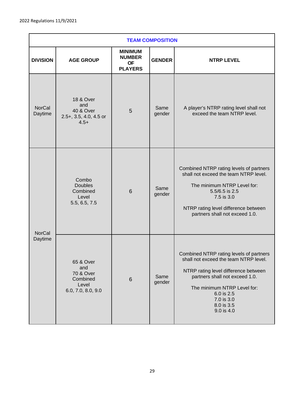| <b>TEAM COMPOSITION</b>  |                                                                                         |                                                                |                |                                                                                                                                                                                                                                                   |
|--------------------------|-----------------------------------------------------------------------------------------|----------------------------------------------------------------|----------------|---------------------------------------------------------------------------------------------------------------------------------------------------------------------------------------------------------------------------------------------------|
| <b>DIVISION</b>          | <b>AGE GROUP</b>                                                                        | <b>MINIMUM</b><br><b>NUMBER</b><br><b>OF</b><br><b>PLAYERS</b> | <b>GENDER</b>  | <b>NTRP LEVEL</b>                                                                                                                                                                                                                                 |
| <b>NorCal</b><br>Daytime | <b>18 &amp; Over</b><br>and<br><b>40 &amp; Over</b><br>2.5+, 3.5, 4.0, 4.5 or<br>$4.5+$ | 5                                                              | Same<br>gender | A player's NTRP rating level shall not<br>exceed the team NTRP level.                                                                                                                                                                             |
| <b>NorCal</b>            | Combo<br><b>Doubles</b><br>Combined<br>Level<br>5.5, 6.5, 7.5                           | 6                                                              | Same<br>gender | Combined NTRP rating levels of partners<br>shall not exceed the team NTRP level.<br>The minimum NTRP Level for:<br>5.5/6.5 is 2.5<br>7.5 is 3.0<br>NTRP rating level difference between<br>partners shall not exceed 1.0.                         |
| Daytime                  | 65 & Over<br>and<br>70 & Over<br>Combined<br>Level<br>6.0, 7.0, 8.0, 9.0                | $6\phantom{1}$                                                 | Same<br>gender | Combined NTRP rating levels of partners<br>shall not exceed the team NTRP level.<br>NTRP rating level difference between<br>partners shall not exceed 1.0.<br>The minimum NTRP Level for:<br>6.0 is 2.5<br>7.0 is 3.0<br>8.0 is 3.5<br>9.0 is 4.0 |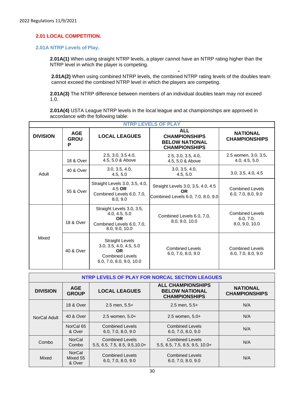#### **2.01 LOCAL COMPETITION.**

#### **2.01A NTRP Levels of Play.**

**2.01A(1)** When using straight NTRP levels, a player cannot have an NTRP rating higher than the NTRP level in which the player is competing.

**2.01A(2)** When using combined NTRP levels, the combined NTRP rating levels of the doubles team cannot exceed the combined NTRP level in which the players are competing.

**2.01A(3)** The NTRP difference between members of an individual doubles team may not exceed 1.0.

**2.01A(4)** USTA League NTRP levels in the local league and at championships are approved in accordance with the following table:

| <b>NTRP LEVELS OF PLAY</b> |                                |                                                                                                                      |                                                                                       |                                                       |
|----------------------------|--------------------------------|----------------------------------------------------------------------------------------------------------------------|---------------------------------------------------------------------------------------|-------------------------------------------------------|
| <b>DIVISION</b>            | <b>AGE</b><br><b>GROU</b><br>P | <b>LOCAL LEAGUES</b>                                                                                                 | <b>ALL</b><br><b>CHAMPIONSHIPS</b><br><b>BELOW NATIONAL</b><br><b>CHAMPIONSHIPS</b>   | <b>NATIONAL</b><br><b>CHAMPIONSHIPS</b>               |
|                            | 18 & Over                      | 2.5, 3.0, 3.5, 4.0,<br>4.5, 5.0 & Above                                                                              | 2.5, 3.0, 3.5, 4.0,<br>4.5, 5.0 & Above                                               | 2.5 women, 3.0, 3.5,<br>4.0, 4.5, 5.0                 |
| Adult                      | 40 & Over                      | 3.0, 3.5, 4.0,<br>4.5, 5.0                                                                                           | 3.0, 3.5, 4.0,<br>4.5, 5.0                                                            | 3.0, 3.5, 4.0, 4.5                                    |
|                            | 55 & Over                      | Straight Levels 3.0, 3.5, 4.0,<br>4.5 OR<br>Combined Levels 6.0, 7.0,<br>8.0.9.0                                     | Straight Levels 3.0, 3.5, 4.0, 4.5<br><b>OR</b><br>Combined Levels 6.0, 7.0, 8.0, 9.0 | <b>Combined Levels</b><br>6.0, 7.0, 8.0, 9.0          |
|                            | 18 & Over                      | Straight Levels 3.0, 3.5,<br>4.0, 4.5, 5.0<br><b>OR</b><br>Combined Levels 6.0, 7.0,<br>8.0, 9.0, 10.0               | Combined Levels 6.0, 7.0,<br>8.0, 9.0, 10.0                                           | <b>Combined Levels</b><br>6.0, 7.0,<br>8.0, 9.0, 10.0 |
| Mixed                      | 40 & Over                      | <b>Straight Levels</b><br>3.0, 3.5, 4.0, 4.5, 5.0<br><b>OR</b><br><b>Combined Levels</b><br>6.0, 7.0, 8.0, 9.0, 10.0 | <b>Combined Levels</b><br>6.0, 7.0, 8.0, 9.0                                          | <b>Combined Levels</b><br>6.0, 7.0, 8.0, 9.0          |

| NTRP LEVELS OF PLAY FOR NORCAL SECTION LEAGUES |                              |                                                            |                                                                           |                                         |
|------------------------------------------------|------------------------------|------------------------------------------------------------|---------------------------------------------------------------------------|-----------------------------------------|
| <b>DIVISION</b>                                | <b>AGE</b><br><b>GROUP</b>   | <b>LOCAL LEAGUES</b>                                       | <b>ALL CHAMPIONSHIPS</b><br><b>BELOW NATIONAL</b><br><b>CHAMPIONSHIPS</b> | <b>NATIONAL</b><br><b>CHAMPIONSHIPS</b> |
|                                                | 18 & Over                    | $2.5$ men, $5.5+$                                          | $2.5$ men, $5.5+$                                                         | N/A                                     |
| NorCal Adult                                   | 40 & Over                    | $2.5$ women. $5.0+$                                        | $2.5$ women, $5.0+$                                                       | N/A                                     |
|                                                | NorCal 65<br>& Over          | <b>Combined Levels</b><br>6.0, 7.0, 8.0, 9.0               | <b>Combined Levels</b><br>6.0, 7.0, 8.0, 9.0                              | N/A                                     |
| Combo                                          | <b>NorCal</b><br>Combo       | <b>Combined Levels</b><br>$5.5, 6.5, 7.5, 8.5, 9.5, 10.0+$ | <b>Combined Levels</b><br>$5.5, 6.5, 7.5, 8.5, 9.5, 10.0+$                | N/A                                     |
| Mixed                                          | NorCal<br>Mixed 55<br>& Over | <b>Combined Levels</b><br>6.0, 7.0, 8.0, 9.0               | <b>Combined Levels</b><br>6.0, 7.0, 8.0, 9.0                              | N/A                                     |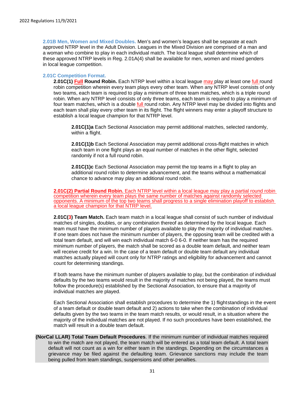**2.01B Men, Women and Mixed Doubles.** Men's and women's leagues shall be separate at each approved NTRP level in the Adult Division. Leagues in the Mixed Division are comprised of a man and a woman who combine to play in each individual match. The local league shall determine which of these approved NTRP levels in Reg. 2.01A(4) shall be available for men, women and mixed genders in local league competition.

#### **2.01C Competition Format.**

**2.01C(1) Full Round Robin.** Each NTRP level within a local league may play at least one full round robin competition wherein every team plays every other team. When any NTRP level consists of only two teams, each team is required to play a minimum of three team matches, which is a triple round robin. When any NTRP level consists of only three teams, each team is required to play a minimum of four team matches, which is a double full round robin. Any NTRP level may be divided into flights and each team shall play every other team in its flight. The flight winners may enter a playoff structure to establish a local league champion for that NTRP level.

**2.01C(1)a** Each Sectional Association may permit additional matches, selected randomly, within a flight.

**2.01C(1)b** Each Sectional Association may permit additional cross-flight matches in which each team in one flight plays an equal number of matches in the other flight, selected randomly if not a full round robin.

**2.01C(1)c** Each Sectional Association may permit the top teams in a flight to play an additional round robin to determine advancement, and the teams without a mathematical chance to advance may play an additional round robin.

**2.01C(2) Partial Round Robin.** Each NTRP level within a local league may play a partial round robin competition wherein every team plays the same number of matches against randomly selected opponents. A minimum of the top two teams shall progress to a single elimination playoff to establish a local league champion for that NTRP level.

**2.01C(3) Team Match.** Each team match in a local league shall consist of such number of individual matches of singles, doubles, or any combination thereof as determined by the local league. Each team must have the minimum number of players available to play the majority of individual matches. If one team does not have the minimum number of players, the opposing team will be credited with a total team default, and will win each individual match 6-0 6-0. If neither team has the required minimum number of players, the match shall be scored as a double team default, and neither team will receive credit for a win. In the case of a team default or double team default any individual matches actually played will count only for NTRP ratings and eligibility for advancement and cannot count for determining standings.

If both teams have the minimum number of players available to play, but the combination of individual defaults by the two teams would result in the majority of matches not being played, the teams must follow the procedure(s) established by the Sectional Association, to ensure that a majority of individual matches are played.

Each Sectional Association shall establish procedures to determine the 1) flightstandings in the event of a team default or double team default and 2) actions to take when the combination of individual defaults given by the two teams in the team match results, or would result, in a situation where the majority of the individual matches are not played. If no such procedures have been established, the match will result in a double team default.

<span id="page-30-0"></span>**(NorCal LLAR) Total Team Default Procedures**. If the minimum number of individual matches required to win the match are not played, the team match will be entered as a total team default. A total team default will not count as a win for either team in the standings. Depending on the circumstances a grievance may be filed against the defaulting team. Grievance sanctions may include the team being pulled from team standings, suspensions and other penalties.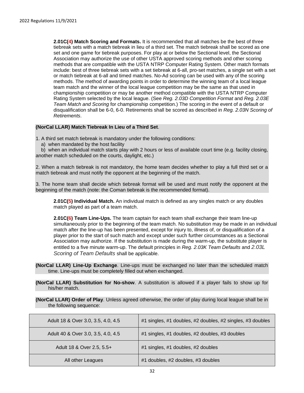**2.01C(4) Match Scoring and Formats.** It is recommended that all matches be the best of three tiebreak sets with a match tiebreak in lieu of a third set. The match tiebreak shall be scored as one set and one game for tiebreak purposes. For play at or below the Sectional level, the Sectional Association may authorize the use of other USTA approved scoring methods and other scoring methods that are compatible with the USTA NTRP Computer Rating System. Other match formats include: best of three tiebreak sets with a set tiebreak at 6-all, pro-set matches, a single set with a set or match tiebreak at 6-all and timed matches. No-Ad scoring can be used with any of the scoring methods. The method of awarding points in order to determine the winning team of a local league team match and the winner of the local league competition may be the same as that used in championship competition or may be another method compatible with the USTA NTRP Computer Rating System selected by the local league. (See *Reg. 2.03D Competition Format* and *Reg. 2.03E Team Match and Scoring* for championship competition.) The scoring in the event of a default or disqualification shall be 6-0, 6-0. Retirements shall be scored as described in *Reg. 2.03N Scoring of Retirements*.

#### <span id="page-31-0"></span>**(NorCal LLAR) Match Tiebreak In Lieu of a Third Set**.

1. A third set match tiebreak is mandatory under the following conditions:

a) when mandated by the host facility

b) when an individual match starts play with 2 hours or less of available court time (e.g. facility closing, another match scheduled on the courts, daylight, etc.)

2. When a match tiebreak is not mandatory, the home team decides whether to play a full third set or a match tiebreak and must notify the opponent at the beginning of the match.

3. The home team shall decide which tiebreak format will be used and must notify the opponent at the beginning of the match (note: the Coman tiebreak is the recommended format).

**2.01C(5) Individual Match.** An individual match is defined as any singles match or any doubles match played as part of a team match.

**2.01C(6) Team Line-Ups.** The team captain for each team shall exchange their team line-up simultaneously prior to the beginning of the team match. No substitution may be made in an individual match after the line-up has been presented, except for injury to, illness of, or disqualification of a player prior to the start of such match and except under such further circumstances as a Sectional Association may authorize. If the substitution is made during the warm-up, the substitute player is entitled to a five minute warm-up. The default principles in *Reg. 2.03K Team Defaults* and *2.03L Scoring of Team Defaults* shall be applicable.

- <span id="page-31-1"></span>**(NorCal LLAR) Line-Up Exchange**. Line-ups must be exchanged no later than the scheduled match time. Line-ups must be completely filled out when exchanged.
- <span id="page-31-2"></span>**(NorCal LLAR) Substitution for No-show**. A substitution is allowed if a player fails to show up for his/her match.
- <span id="page-31-3"></span>**(NorCal LLAR) Order of Play**. Unless agreed otherwise, the order of play during local league shall be in the following sequence:

| Adult 18 & Over 3.0, 3.5, 4.0, 4.5 | #1 singles, #1 doubles, #2 doubles, #2 singles, #3 doubles |
|------------------------------------|------------------------------------------------------------|
| Adult 40 & Over 3.0, 3.5, 4.0, 4.5 | #1 singles, #1 doubles, #2 doubles, #3 doubles             |
| Adult 18 & Over 2.5, 5.5+          | #1 singles, #1 doubles, #2 doubles                         |
| All other Leagues                  | #1 doubles, #2 doubles, #3 doubles                         |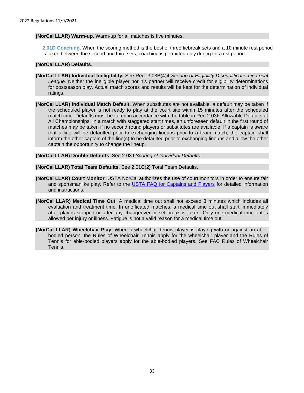#### <span id="page-32-0"></span>**(NorCal LLAR) Warm-up**. Warm-up for all matches is five minutes.

**2.01D Coaching.** When the scoring method is the best of three tiebreak sets and a 10 minute rest period is taken between the second and third sets, coaching is permitted only during this rest period.

#### <span id="page-32-1"></span>**(NorCal LLAR) Defaults**.

- <span id="page-32-2"></span>**(NorCal LLAR) Individual Ineligibility**. See Reg. 3.03B(4)4 *Scoring of Eligibility Disqualification in Local League.* Neither the ineligible player nor his partner will receive credit for eligibility determinations for postseason play. Actual match scores and results will be kept for the determination of individual ratings.
- <span id="page-32-3"></span>**(NorCal LLAR) Individual Match Default**. When substitutes are not available, a default may be taken if the scheduled player is not ready to play at the court site within 15 minutes after the scheduled match time. Defaults must be taken in accordance with the table in Reg 2.03K Allowable Defaults at All Championships. In a match with staggered start times, an unforeseen default in the first round of matches may be taken if no second round players or substitutes are available. If a captain is aware that a line will be defaulted prior to exchanging lineups prior to a team match, the captain shall inform the other captain of the line(s) to be defaulted prior to exchanging lineups and allow the other captain the opportunity to change the lineup.

<span id="page-32-4"></span>**(NorCal LLAR) Double Defaults**. See 2.03J *Scoring of Individual Defaults.* 

<span id="page-32-5"></span>**(NorCal LLAR) Total Team Defaults**. See 2.01C(2) Total Team Defaults.

- <span id="page-32-6"></span>**(NorCal LLAR) Court Monitor**. USTA NorCal authorizes the use of court monitors in order to ensure fair and sportsmanlike play. Refer to the [USTA FAQ for Captains and Players](https://www.usta.com/content/dam/usta/sections/northern-california/norcal/pdfs/leagues/USTA-NorCal_Rules-FAQ.pdf) for detailed information and instructions.
- <span id="page-32-7"></span>**(NorCal LLAR) Medical Time Out**. A medical time out shall not exceed 3 minutes which includes all evaluation and treatment time. In unofficated matches, a medical time out shall start immediately after play is stopped or after any changeover or set break is taken. Only one medical time out is allowed per injury or illness. Fatigue is not a valid reason for a medical time out.
- <span id="page-32-8"></span>**(NorCal LLAR) Wheelchair Play**. When a wheelchair tennis player is playing with or against an ablebodied person, the Rules of Wheelchair Tennis apply for the wheelchair player and the Rules of Tennis for able-bodied players apply for the able-bodied players. See FAC Rules of Wheelchair Tennis.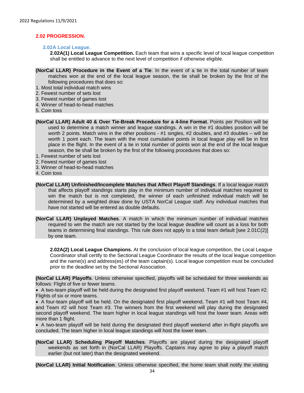#### <span id="page-33-0"></span>**2.02 PROGRESSION.**

#### **2.02A Local League.**

**2.02A(1) Local League Competition.** Each team that wins a specific level of local league competition shall be entitled to advance to the next level of competition if otherwise eligible.

- <span id="page-33-1"></span>**(NorCal LLAR) Procedure in the Event of a Tie**. In the event of a tie in the total number of team matches won at the end of the local league season, the tie shall be broken by the first of the following procedures that does so:
- 1. Most total individual match wins
- 2. Fewest number of sets lost
- 3. Fewest number of games lost
- 4. Winner of head-to-head matches
- 5. Coin toss
- <span id="page-33-2"></span>**(NorCal LLAR) Adult 40 & Over Tie-Break Procedure for a 4-line Format**. Points per Position will be used to determine a match winner and league standings. A win in the #1 doubles position will be worth 2 points. Match wins in the other positions - #1 singles, #2 doubles, and #3 doubles – will be worth 1 point each. The team with the most cumulative points in local league play will be in first place in the flight. In the event of a tie in total number of points won at the end of the local league season, the tie shall be broken by the first of the following procedures that does so:
- 1. Fewest number of sets lost
- 2. Fewest number of games lost
- 3. Winner of head-to-head matches
- 4. Coin toss
- <span id="page-33-3"></span>**(NorCal LLAR) Unfinished/Incomplete Matches that Affect Playoff Standings**. If a local league match that affects playoff standings starts play in the minimum number of individual matches required to win the match but is not completed, the winner of each unfinished individual match will be determined by a weighted draw done by USTA NorCal League staff. Any individual matches that have not started will be entered as double defaults.
- <span id="page-33-4"></span>**(NorCal LLAR) Unplayed Matches**. A match in which the minimum number of individual matches required to win the match are not started by the local league deadline will count as a loss for both teams in determining final standings. This rule does not apply to a total team default [see 2.01C(2)] by one team.

**2.02A(2) Local League Champions.** At the conclusion of local league competition, the Local League Coordinator shall certify to the Sectional League Coordinator the results of the local league competition and the name(s) and address(es) of the team captain(s). Local league competition must be concluded prior to the deadline set by the Sectional Association.

<span id="page-33-5"></span>**(NorCal LLAR) Playoffs**. Unless otherwise specified, playoffs will be scheduled for three weekends as follows: Flight of five or fewer teams.

• A two-team playoff will be held during the designated first playoff weekend. Team #1 will host Team #2. Flights of six or more teams.

• A four-team playoff will be held. On the designated first playoff weekend, Team #1 will host Team #4, and Team #2 will host Team #3. The winners from the first weekend will play during the designated second playoff weekend. The team higher in local league standings will host the lower team. Areas with more than 1 flight.

• A two-team playoff will be held during the designated third playoff weekend after in-flight playoffs are concluded. The team higher in local league standings will host the lower team.

<span id="page-33-6"></span>**(NorCal LLAR) Scheduling Playoff Matches**. Playoffs are played during the designated playoff weekends as set forth in (NorCal LLAR) Playoffs. Captains may agree to play a playoff match earlier (but not later) than the designated weekend.

<span id="page-33-7"></span>**(NorCal LLAR) Initial Notification**. Unless otherwise specified, the home team shall notify the visiting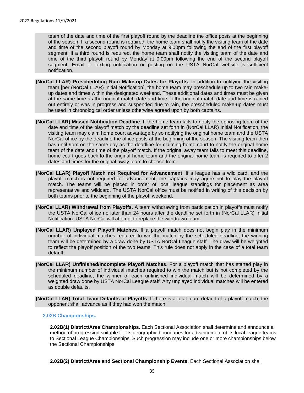team of the date and time of the first playoff round by the deadline the office posts at the beginning of the season. If a second round is required, the home team shall notify the visiting team of the date and time of the second playoff round by Monday at 9:00pm following the end of the first playoff segment. If a third round is required, the home team shall notify the visiting team of the date and time of the third playoff round by Monday at 9:00pm following the end of the second playoff segment. Email or texting notification or posting on the USTA NorCal website is sufficient notification.

- <span id="page-34-0"></span>**(NorCal LLAR) Prescheduling Rain Make-up Dates for Playoffs**. In addition to notifying the visiting team [per (NorCal LLAR) Initial Notification], the home team may preschedule up to two rain makeup dates and times within the designated weekend. These additional dates and times must be given at the same time as the original match date and time. If the original match date and time is rained out entirely or was in progress and suspended due to rain, the prescheduled make-up dates must be used in chronological order unless otherwise agreed upon by both captains.
- <span id="page-34-1"></span>**(NorCal LLAR) Missed Notification Deadline**. If the home team fails to notify the opposing team of the date and time of the playoff match by the deadline set forth in (NorCal LLAR) Initial Notification, the visiting team may claim home court advantage by so notifying the original home team and the USTA NorCal office by the deadline the office posts at the beginning of the season. The visiting team then has until 9pm on the same day as the deadline for claiming home court to notify the original home team of the date and time of the playoff match. If the original away team fails to meet this deadline, home court goes back to the original home team and the original home team is required to offer 2 dates and times for the original away team to choose from.
- <span id="page-34-2"></span>**(NorCal LLAR) Playoff Match not Required for Advancement**. If a league has a wild card, and the playoff match is not required for advancement, the captains may agree not to play the playoff match. The teams will be placed in order of local league standings for placement as area representative and wildcard. The USTA NorCal office must be notified in writing of this decision by both teams prior to the beginning of the playoff weekend.
- <span id="page-34-3"></span>**(NorCal LLAR) Withdrawal from Playoffs**. A team withdrawing from participation in playoffs must notify the USTA NorCal office no later than 24 hours after the deadline set forth in (NorCal LLAR) Initial Notification. USTA NorCal will attempt to replace the withdrawn team.
- <span id="page-34-4"></span>**(NorCal LLAR) Unplayed Playoff Matches**. If a playoff match does not begin play in the minimum number of individual matches required to win the match by the scheduled deadline, the winning team will be determined by a draw done by USTA NorCal League staff. The draw will be weighted to reflect the playoff position of the two teams. This rule does not apply in the case of a total team default.
- <span id="page-34-5"></span>**(NorCal LLAR) Unfinished/Incomplete Playoff Matches**. For a playoff match that has started play in the minimum number of individual matches required to win the match but is not completed by the scheduled deadline, the winner of each unfinished individual match will be determined by a weighted draw done by USTA NorCal League staff. Any unplayed individual matches will be entered as double defaults.
- <span id="page-34-6"></span>**(NorCal LLAR) Total Team Defaults at Playoffs**. If there is a total team default of a playoff match, the opponent shall advance as if they had won the match.

#### **2.02B Championships.**

**2.02B(1) District/Area Championships.** Each Sectional Association shall determine and announce a method of progression suitable for its geographic boundaries for advancement of its local league teams to Sectional League Championships. Such progression may include one or more championships below the Sectional Championships.

**2.02B(2) District/Area and Sectional Championship Events.** Each Sectional Association shall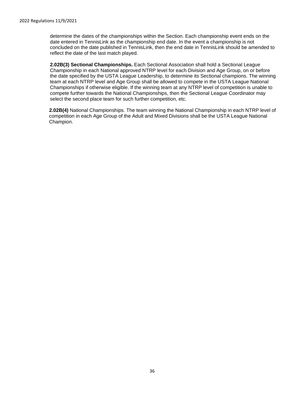determine the dates of the championships within the Section. Each championship event ends on the date entered in TennisLink as the championship end date. In the event a championship is not concluded on the date published in TennisLink, then the end date in TennisLink should be amended to reflect the date of the last match played.

**2.02B(3) Sectional Championships.** Each Sectional Association shall hold a Sectional League Championship in each National approved NTRP level for each Division and Age Group, on or before the date specified by the USTA League Leadership, to determine its Sectional champions. The winning team at each NTRP level and Age Group shall be allowed to compete in the USTA League National Championships if otherwise eligible. If the winning team at any NTRP level of competition is unable to compete further towards the National Championships, then the Sectional League Coordinator may select the second place team for such further competition, etc.

**2.02B(4)** National Championships. The team winning the National Championship in each NTRP level of competition in each Age Group of the Adult and Mixed Divisions shall be the USTA League National Champion.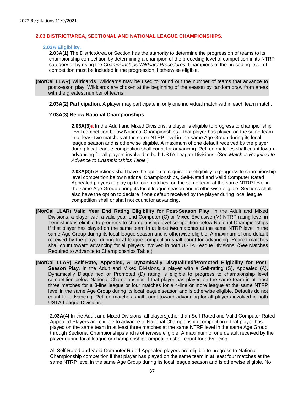#### <span id="page-36-0"></span>**2.03 DISTRICT/AREA, SECTIONAL AND NATIONAL LEAGUE CHAMPIONSHIPS.**

#### **2.03A Eligibility.**

**2.03A(1)** The District/Area or Section has the authority to determine the progression of teams to its championship competition by determining a champion of the preceding level of competition in its NTRP category or by using the *Championships Wildcard Procedures*. Champions of the preceding level of competition must be included in the progression if otherwise eligible.

<span id="page-36-1"></span>**(NorCal LLAR) Wildcards**. Wildcards may be used to round out the number of teams that advance to postseason play. Wildcards are chosen at the beginning of the season by random draw from areas with the greatest number of teams.

**2.03A(2) Participation.** A player may participate in only one individual match within each team match.

#### **2.03A(3) Below National Championships**

**2.03A(3)a** In the Adult and Mixed Divisions, a player is eligible to progress to championship level competition below National Championships if that player has played on the same team in at least two matches at the same NTRP level in the same Age Group during its local league season and is otherwise eligible. A maximum of one default received by the player during local league competition shall count for advancing. Retired matches shall count toward advancing for all players involved in both USTA League Divisions. (See *Matches Required to Advance to Championships Table.)*

**2.03A(3)b** Sections shall have the option to require, for eligibility to progress to championship level competition below National Championships, Self-Rated and Valid Computer Rated Appealed players to play up to four matches, on the same team at the same NTRP level in the same Age Group during its local league season and is otherwise eligible. Sections shall also have the option to declare if one default received by the player during local league competition shall or shall not count for advancing.

- <span id="page-36-2"></span>**(NorCal LLAR) Valid Year End Rating Eligibility for Post-Season Play**. In the Adult and Mixed Divisions, a player with a valid year-end Computer (C) or Mixed Exclusive (M) NTRP rating level in TennisLink is eligible to progress to championship level competition below National Championships if that player has played on the same team in at least **two** matches at the same NTRP level in the same Age Group during its local league season and is otherwise eligible. A maximum of one default received by the player during local league competition shall count for advancing. Retired matches shall count toward advancing for all players involved in both USTA League Divisions. (See Matches Required to Advance to Championships Table.)
- <span id="page-36-3"></span>**(NorCal LLAR) Self-Rate, Appealed, & Dynamically Disqualified/Promoted Eligibility for Post-Season Play**. In the Adult and Mixed Divisions, a player with a Self-rating (S), Appealed (A), Dynamically Disqualified or Promoted (D) rating is eligible to progress to championship level competition below National Championships if that player has played on the same team in at least three matches for a 3-line league or four matches for a 4-line or more league at the same NTRP level in the same Age Group during its local league season and is otherwise eligible. Defaults do not count for advancing. Retired matches shall count toward advancing for all players involved in both USTA League Divisions.

**2.03A(4)** In the Adult and Mixed Divisions, all players other than Self-Rated and Valid Computer Rated Appealed Players are eligible to advance to National Championship competition if that player has played on the same team in at least three matches at the same NTRP level in the same Age Group through Sectional Championships and is otherwise eligible. A maximum of one default received by the player during local league or championship competition shall count for advancing.

All Self-Rated and Valid Computer Rated Appealed players are eligible to progress to National Championship competition if that player has played on the same team in at least four matches at the same NTRP level in the same Age Group during its local league season and is otherwise eligible. No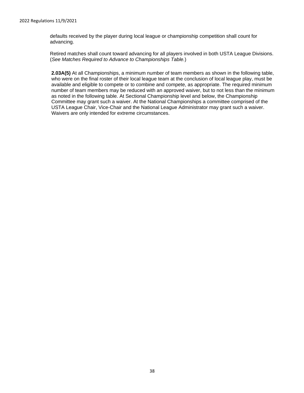defaults received by the player during local league or championship competition shall count for advancing.

Retired matches shall count toward advancing for all players involved in both USTA League Divisions. (*See Matches Required to Advance to Championships Table.*)

**2.03A(5)** At all Championships, a minimum number of team members as shown in the following table, who were on the final roster of their local league team at the conclusion of local league play, must be available and eligible to compete or to combine and compete, as appropriate. The required minimum number of team members may be reduced with an approved waiver, but to not less than the minimum as noted in the following table. At Sectional Championship level and below, the Championship Committee may grant such a waiver. At the National Championships a committee comprised of the USTA League Chair, Vice-Chair and the National League Administrator may grant such a waiver. Waivers are only intended for extreme circumstances.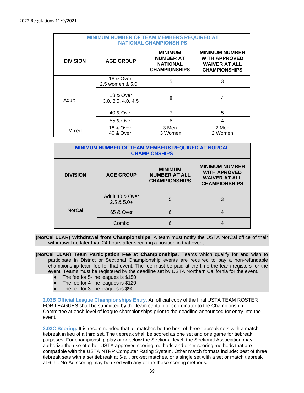| <b>MINIMUM NUMBER OF TEAM MEMBERS REQUIRED AT</b><br><b>NATIONAL CHAMPIONSHIPS</b> |                                            |                                                                               |                                                                                               |  |
|------------------------------------------------------------------------------------|--------------------------------------------|-------------------------------------------------------------------------------|-----------------------------------------------------------------------------------------------|--|
| <b>DIVISION</b>                                                                    | <b>AGE GROUP</b>                           | <b>MINIMUM</b><br><b>NUMBER AT</b><br><b>NATIONAL</b><br><b>CHAMPIONSHIPS</b> | <b>MINIMUM NUMBER</b><br><b>WITH APPROVED</b><br><b>WAIVER AT ALL</b><br><b>CHAMPIONSHIPS</b> |  |
|                                                                                    | <b>18 &amp; Over</b><br>2.5 women & 5.0    | 5                                                                             | 3                                                                                             |  |
| Adult                                                                              | <b>18 &amp; Over</b><br>3.0, 3.5, 4.0, 4.5 | 8                                                                             | 4                                                                                             |  |
|                                                                                    | 40 & Over                                  | 7                                                                             | 5                                                                                             |  |
|                                                                                    | 55 & Over                                  | 6                                                                             | 4                                                                                             |  |
| Mixed                                                                              | 18 & Over<br>40 & Over                     | 3 Men<br>3 Women                                                              | 2 Men<br>2 Women                                                                              |  |

| <b>MINIMUM NUMBER OF TEAM MEMBERS REQUIRED AT NORCAL</b><br><b>CHAMPIONSHIPS</b>                      |                                 |                                                                                              |   |
|-------------------------------------------------------------------------------------------------------|---------------------------------|----------------------------------------------------------------------------------------------|---|
| <b>MINIMUM</b><br><b>DIVISION</b><br><b>AGE GROUP</b><br><b>NUMBER AT ALL</b><br><b>CHAMPIONSHIPS</b> |                                 | <b>MINIMUM NUMBER</b><br><b>WITH APROVED</b><br><b>WAIVER AT ALL</b><br><b>CHAMPIONSHIPS</b> |   |
|                                                                                                       | Adult 40 & Over<br>$2.5 & 5.0+$ | 5                                                                                            | 3 |
| <b>NorCal</b>                                                                                         | 65 & Over                       | 6                                                                                            |   |
|                                                                                                       | Combo                           | 6                                                                                            |   |

<span id="page-38-0"></span>**(NorCal LLAR) Withdrawal from Championships**. A team must notify the USTA NorCal office of their withdrawal no later than 24 hours after securing a position in that event.

<span id="page-38-1"></span>**(NorCal LLAR) Team Participation Fee at Championships**. Teams which qualify for and wish to participate in District or Sectional Championship events are required to pay a non-refundable championship team fee for that event. The fee must be paid at the time the team registers for the event. Teams must be registered by the deadline set by USTA Northern California for the event.

- The fee for 5-line leagues is \$150
- The fee for 4-line leagues is \$120
- The fee for 3-line leagues is \$90

**2.03B Official League Championships Entry.** An official copy of the final USTA TEAM ROSTER FOR LEAGUES shall be submitted by the team captain or coordinator to the Championship Committee at each level of league championships prior to the deadline announced for entry into the event.

**2.03C Scoring.** It is recommended that all matches be the best of three tiebreak sets with a match tiebreak in lieu of a third set. The tiebreak shall be scored as one set and one game for tiebreak purposes. For championship play at or below the Sectional level, the Sectional Association may authorize the use of other USTA approved scoring methods and other scoring methods that are compatible with the USTA NTRP Computer Rating System. Other match formats include: best of three tiebreak sets with a set tiebreak at 6-all, pro-set matches, or a single set with a set or match tiebreak at 6-all. No-Ad scoring may be used with any of the these scoring methods**.**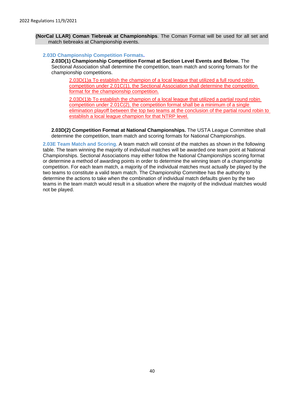<span id="page-39-0"></span>**(NorCal LLAR) Coman Tiebreak at Championships**. The Coman Format will be used for all set and match tiebreaks at Championship events.

#### **2.03D Championship Competition Formats.**

**2.03D(1) Championship Competition Format at Section Level Events and Below.** The Sectional Association shall determine the competition, team match and scoring formats for the championship competitions.

2.03D(1)a To establish the champion of a local league that utilized a full round robin competition under 2.01C(1), the Sectional Association shall determine the competition format for the championship competition.

2.03D(1)b To establish the champion of a local league that utilized a partial round robin competition under 2.01C(2), the competition format shall be a minimum of a single elimination playoff between the top two teams at the conclusion of the partial round robin to establish a local league champion for that NTRP level.

**2.03D(2) Competition Format at National Championships.** The USTA League Committee shall determine the competition, team match and scoring formats for National Championships.

**2.03E Team Match and Scoring.** A team match will consist of the matches as shown in the following table. The team winning the majority of individual matches will be awarded one team point at National Championships. Sectional Associations may either follow the National Championships scoring format or determine a method of awarding points in order to determine the winning team of a championship competition. For each team match, a majority of the individual matches must actually be played by the two teams to constitute a valid team match. The Championship Committee has the authority to determine the actions to take when the combination of individual match defaults given by the two teams in the team match would result in a situation where the majority of the individual matches would not be played.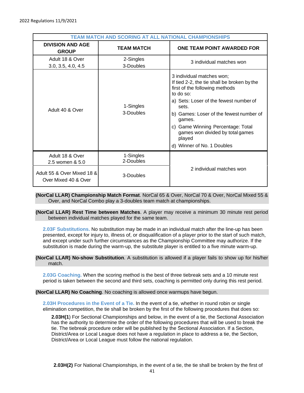| TEAM MATCH AND SCORING AT ALL NATIONAL CHAMPIONSHIPS |                        |                                                                                                                                                                                                                                                                                                                                                  |  |
|------------------------------------------------------|------------------------|--------------------------------------------------------------------------------------------------------------------------------------------------------------------------------------------------------------------------------------------------------------------------------------------------------------------------------------------------|--|
| <b>DIVISION AND AGE</b><br><b>GROUP</b>              | <b>TEAM MATCH</b>      | ONE TEAM POINT AWARDED FOR                                                                                                                                                                                                                                                                                                                       |  |
| Adult 18 & Over<br>3.0, 3.5, 4.0, 4.5                | 2-Singles<br>3-Doubles | 3 individual matches won                                                                                                                                                                                                                                                                                                                         |  |
| Adult 40 & Over                                      | 1-Singles<br>3-Doubles | 3 individual matches won;<br>If tied 2-2, the tie shall be broken by the<br>first of the following methods<br>to do so:<br>a) Sets: Loser of the fewest number of<br>sets.<br>b) Games: Loser of the fewest number of<br>games.<br>c) Game Winning Percentage: Total<br>games won divided by total games<br>played<br>d) Winner of No. 1 Doubles |  |
| Adult 18 & Over<br>2.5 women & 5.0                   | 1-Singles<br>2-Doubles |                                                                                                                                                                                                                                                                                                                                                  |  |
| Adult 55 & Over Mixed 18 &<br>Over Mixed 40 & Over   | 3-Doubles              | 2 individual matches won                                                                                                                                                                                                                                                                                                                         |  |

#### <span id="page-40-0"></span>**(NorCal LLAR) Championship Match Format**. NorCal 65 & Over, NorCal 70 & Over, NorCal Mixed 55 & Over, and NorCal Combo play a 3-doubles team match at championships.

#### <span id="page-40-1"></span>**(NorCal LLAR) Rest Time between Matches**. A player may receive a minimum 30 minute rest period between individual matches played for the same team.

**2.03F Substitutions.** No substitution may be made in an individual match after the line-up has been presented, except for injury to, illness of, or disqualification of a player prior to the start of such match, and except under such further circumstances as the Championship Committee may authorize. If the substitution is made during the warm-up, the substitute player is entitled to a five minute warm-up.

#### <span id="page-40-2"></span>**(NorCal LLAR) No-show Substitution**. A substitution is allowed if a player fails to show up for his/her match.

**2.03G Coaching.** When the scoring method is the best of three tiebreak sets and a 10 minute rest period is taken between the second and third sets, coaching is permitted only during this rest period.

#### <span id="page-40-3"></span>**(NorCal LLAR) No Coaching**. No coaching is allowed once warmups have begun.

**2.03H Procedures in the Event of a Tie.** In the event of a tie, whether in round robin or single elimination competition, the tie shall be broken by the first of the following procedures that does so:

**2.03H(1**) For Sectional Championships and below, in the event of a tie, the Sectional Association has the authority to determine the order of the following procedures that will be used to break the tie. The tiebreak procedure order will be published by the Sectional Association. If a Section, District/Area or Local League does not have a regulation in place to address a tie, the Section, District/Area or Local League must follow the national regulation.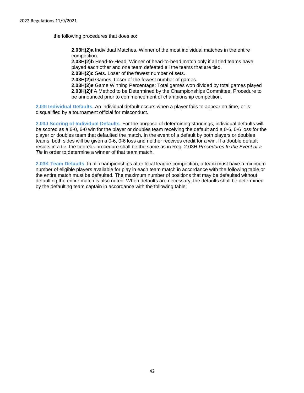the following procedures that does so:

**2.03H(2)a** Individual Matches. Winner of the most individual matches in the entire competition.

**2.03H(2)b** Head-to-Head. Winner of head-to-head match only if all tied teams have played each other and one team defeated all the teams that are tied.

**2.03H(2)c** Sets. Loser of the fewest number of sets.

**2.03H(2)d** Games. Loser of the fewest number of games.

**2.03H(2)e** Game Winning Percentage: Total games won divided by total games played **2.03H(2)f** A Method to be Determined by the Championships Committee. Procedure to be announced prior to commencement of championship competition.

**2.03I Individual Defaults.** An individual default occurs when a player fails to appear on time, or is disqualified by a tournament official for misconduct.

**2.03J Scoring of Individual Defaults**. For the purpose of determining standings, individual defaults will be scored as a 6-0, 6-0 win for the player or doubles team receiving the default and a 0-6, 0-6 loss for the player or doubles team that defaulted the match. In the event of a default by both players or doubles teams, both sides will be given a 0-6, 0-6 loss and neither receives credit for a win. If a double default results in a tie, the tiebreak procedure shall be the same as in Reg. 2.03H *Procedures In the Event of a Tie* in order to determine a winner of that team match.

**2.03K Team Defaults.** In all championships after local league competition, a team must have a minimum number of eligible players available for play in each team match in accordance with the following table or the entire match must be defaulted. The maximum number of positions that may be defaulted without defaulting the entire match is also noted. When defaults are necessary, the defaults shall be determined by the defaulting team captain in accordance with the following table: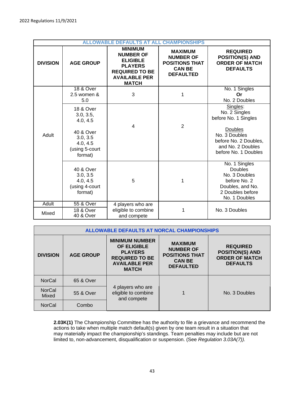| <b>ALLOWABLE DEFAULTS AT ALL CHAMPIONSHIPS</b> |                                                                                                                 |                                                                                                                                          |                                                                                                  |                                                                                                                                                     |
|------------------------------------------------|-----------------------------------------------------------------------------------------------------------------|------------------------------------------------------------------------------------------------------------------------------------------|--------------------------------------------------------------------------------------------------|-----------------------------------------------------------------------------------------------------------------------------------------------------|
| <b>DIVISION</b>                                | <b>AGE GROUP</b>                                                                                                | <b>MINIMUM</b><br><b>NUMBER OF</b><br><b>ELIGIBLE</b><br><b>PLAYERS</b><br><b>REQUIRED TO BE</b><br><b>AVAILABLE PER</b><br><b>MATCH</b> | <b>MAXIMUM</b><br><b>NUMBER OF</b><br><b>POSITIONS THAT</b><br><b>CAN BE</b><br><b>DEFAULTED</b> | <b>REQUIRED</b><br><b>POSITION(S) AND</b><br><b>ORDER OF MATCH</b><br><b>DEFAULTS</b>                                                               |
|                                                | <b>18 &amp; Over</b><br>2.5 women &<br>5.0                                                                      | 3                                                                                                                                        | 1                                                                                                | No. 1 Singles<br>Or<br>No. 2 Doubles                                                                                                                |
| Adult                                          | <b>18 &amp; Over</b><br>3.0, 3.5,<br>4.0, 4.5<br>40 & Over<br>3.0, 3.5<br>4.0, 4.5<br>(using 5-court<br>format) | 4                                                                                                                                        | $\overline{2}$                                                                                   | Singles:<br>No. 2 Singles<br>before No. 1 Singles<br>Doubles<br>No. 3 Doubles<br>before No. 2 Doubles,<br>and No. 2 Doubles<br>before No. 1 Doubles |
|                                                | 40 & Over<br>3.0, 3.5<br>4.0, 4.5<br>(using 4-court<br>format)                                                  | 5                                                                                                                                        | 1                                                                                                | No. 1 Singles<br><b>Doubles</b><br>No. 3 Doubles<br>before No. 2<br>Doubles, and No.<br>2 Doubles before<br>No. 1 Doubles                           |
| Adult                                          | 55 & Over                                                                                                       | 4 players who are                                                                                                                        |                                                                                                  |                                                                                                                                                     |
| Mixed                                          | <b>18 &amp; Over</b><br><b>40 &amp; Over</b>                                                                    | eligible to combine<br>and compete                                                                                                       | 1                                                                                                | No. 3 Doubles                                                                                                                                       |

| <b>ALLOWABLE DEFAULTS AT NORCAL CHAMPIONSHIPS</b> |                  |                                                                                                                                |                                                                                                  |                                                                                       |  |
|---------------------------------------------------|------------------|--------------------------------------------------------------------------------------------------------------------------------|--------------------------------------------------------------------------------------------------|---------------------------------------------------------------------------------------|--|
| <b>DIVISION</b>                                   | <b>AGE GROUP</b> | <b>MINIMUM NUMBER</b><br><b>OF ELIGIBLE</b><br><b>PLAYERS</b><br><b>REQUIRED TO BE</b><br><b>AVAILABLE PER</b><br><b>MATCH</b> | <b>MAXIMUM</b><br><b>NUMBER OF</b><br><b>POSITIONS THAT</b><br><b>CAN BE</b><br><b>DEFAULTED</b> | <b>REQUIRED</b><br><b>POSITION(S) AND</b><br><b>ORDER OF MATCH</b><br><b>DEFAULTS</b> |  |
| <b>NorCal</b>                                     | 65 & Over        | 4 players who are<br>eligible to combine<br>and compete                                                                        |                                                                                                  | No. 3 Doubles                                                                         |  |
| <b>NorCal</b><br>Mixed                            | 55 & Over        |                                                                                                                                |                                                                                                  |                                                                                       |  |
| <b>NorCal</b>                                     | Combo            |                                                                                                                                |                                                                                                  |                                                                                       |  |

**2.03K(1)** The Championship Committee has the authority to file a grievance and recommend the actions to take when multiple match default(s) given by one team result in a situation that may materially impact the championship's standings. Team penalties may include but are not limited to, non-advancement, disqualification or suspension. (See *Regulation 3.03A(7)).*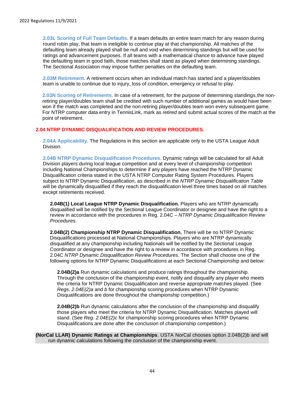**2.03L Scoring of Full Team Defaults.** If a team defaults an entire team match for any reason during round robin play, that team is ineligible to continue play at that championship. All matches of the defaulting team already played shall be null and void when determining standings but will be used for ratings and advancement purposes. If all teams with a mathematical chance to advance have played the defaulting team in good faith, those matches shall stand as played when determining standings. The Sectional Association may impose further penalties on the defaulting team.

**2.03M Retirement.** A retirement occurs when an individual match has started and a player/doubles team is unable to continue due to injury, loss of condition, emergency or refusal to play.

**2.03N Scoring of Retirements.** In case of a retirement, for the purpose of determining standings,the nonretiring player/doubles team shall be credited with such number of additional games as would have been won if the match was completed and the non-retiring player/doubles team won every subsequent game. For NTRP computer data entry in TennisLink, mark as *retired* and submit actual scores of the match at the point of retirement.

#### **2.04 NTRP DYNAMIC DISQUALIFICATION AND REVIEW PROCEDURES.**

**2.04A Applicability.** The Regulations in this section are applicable only to the USTA League Adult Division.

**2.04B NTRP Dynamic Disqualification Procedures.** Dynamic ratings will be calculated for all Adult Division players during local league competition and at every level of championship competition including National Championships to determine if any players have reached the NTRP Dynamic Disqualification criteria stated in the USTA NTRP Computer Rating System Procedures. Players subject to NTRP Dynamic Disqualification, as described in the *NTRP Dynamic Disqualification Table* will be dynamically disqualified if they reach the disqualification level three times based on all matches except retirements received.

**2.04B(1) Local League NTRP Dynamic Disqualification.** Players who are NTRP dynamically disqualified will be notified by the Sectional League Coordinator or designee and have the right to a review in accordance with the procedures in Reg. 2.04C – *NTRP Dynamic Disqualification Review Procedures*.

**2.04B(2) Championship NTRP Dynamic Disqualification.** There will be no NTRP Dynamic Disqualifications processed at National Championships. Players who are NTRP dynamically disqualified at any championship including Nationals will be notified by the Sectional League Coordinator or designee and have the right to a review in accordance with procedures in Reg. 2.04C *NTRP Dynamic Disqualification Review Procedures*. The Section shall choose one of the following options for NTRP Dynamic Disqualifications at each Sectional Championship and below:

**2.04B(2)a** Run dynamic calculations and produce ratings throughout the championship. Through the conclusion of the championship event, notify and disqualify any player who meets the criteria for NTRP Dynamic Disqualification and reverse appropriate matches played. (See *Regs. 2.04E(2)a* and *b* for championship scoring procedures when NTRP Dynamic Disqualifications are done throughout the championship competition.)

**2.04B(2)b** Run dynamic calculations after the conclusion of the championship and disqualify those players who meet the criteria for NTRP Dynamic Disqualification. Matches played will stand. (See *Reg. 2.04E(2)c* for championship scoring procedures when NTRP Dynamic Disqualifications are done after the conclusion of championship competition.)

<span id="page-43-0"></span>**(NorCal LLAR) Dynamic Ratings at Championships**. USTA NorCal chooses option 2.04B(2)b and will run dynamic calculations following the conclusion of the championship event.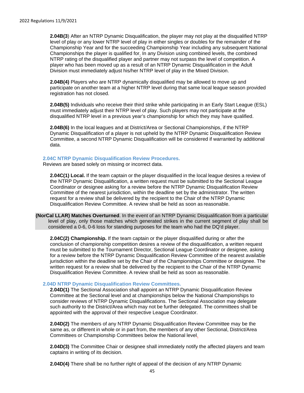**2.04B(3**) After an NTRP Dynamic Disqualification, the player may not play at the disqualified NTRP level of play or any lower NTRP level of play in either singles or doubles for the remainder of the Championship Year and for the succeeding Championship Year including any subsequent National Championships the player is qualified for. In any Division using combined levels, the combined NTRP rating of the disqualified player and partner may not surpass the level of competition. A player who has been moved up as a result of an NTRP Dynamic Disqualification in the Adult Division must immediately adjust his/her NTRP level of play in the Mixed Division.

**2.04B(4)** Players who are NTRP dynamically disqualified may be allowed to move up and participate on another team at a higher NTRP level during that same local league season provided registration has not closed.

**2.04B(5)** Individuals who receive their third strike while participating in an Early Start League (ESL) must immediately adjust their NTRP level of play. Such players may not participate at the disqualified NTRP level in a previous year's championship for which they may have qualified.

**2.04B(6)** In the local leagues and at District/Area or Sectional Championships, if the NTRP Dynamic Disqualification of a player is not upheld by the NTRP Dynamic Disqualification Review Committee, a second NTRP Dynamic Disqualification will be considered if warranted by additional data.

#### **2.04C NTRP Dynamic Disqualification Review Procedures.**

Reviews are based solely on missing or incorrect data.

**2.04C(1) Local.** If the team captain or the player disqualified in the local league desires a review of the NTRP Dynamic Disqualification, a written request must be submitted to the Sectional League Coordinator or designee asking for a review before the NTRP Dynamic Disqualification Review Committee of the nearest jurisdiction, within the deadline set by the administrator. The written request for a review shall be delivered by the recipient to the Chair of the NTRP Dynamic Disqualification Review Committee. A review shall be held as soon as reasonable.

<span id="page-44-0"></span>**(NorCal LLAR) Matches Overturned**. In the event of an NTRP Dynamic Disqualification from a particular level of play, only those matches which generated strikes in the current segment of play shall be considered a 0-6, 0-6 loss for standing purposes for the team who had the DQ'd player.

**2.04C(2) Championship.** If the team captain or the player disqualified during or after the conclusion of championship competition desires a review of the disqualification, a written request must be submitted to the Tournament Director, Sectional League Coordinator or designee, asking for a review before the NTRP Dynamic Disqualification Review Committee of the nearest available jurisdiction within the deadline set by the Chair of the Championships Committee or designee. The written request for a review shall be delivered by the recipient to the Chair of the NTRP Dynamic Disqualification Review Committee. A review shall be held as soon as reasonable.

#### **2.04D NTRP Dynamic Disqualification Review Committees.**

**2.04D(1)** The Sectional Association shall appoint an NTRP Dynamic Disqualification Review Committee at the Sectional level and at championships below the National Championships to consider reviews of NTRP Dynamic Disqualifications. The Sectional Association may delegate such authority to the District/Area which may not be further delegated. The committees shall be appointed with the approval of their respective League Coordinator.

**2.04D(2)** The members of any NTRP Dynamic Disqualification Review Committee may be the same as, or different in whole or in part from, the members of any other Sectional, District/Area Committees or Championship Committees below the National level.

**2.04D(3)** The Committee Chair or designee shall immediately notify the affected players and team captains in writing of its decision.

**2.04D(4)** There shall be no further right of appeal of the decision of any NTRP Dynamic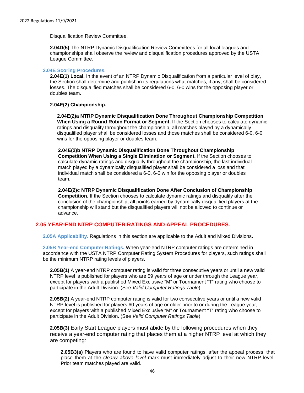Disqualification Review Committee.

**2.04D(5)** The NTRP Dynamic Disqualification Review Committees for all local leagues and championships shall observe the review and disqualification procedures approved by the USTA League Committee.

#### **2.04E Scoring Procedures.**

**2.04E(1) Local.** In the event of an NTRP Dynamic Disqualification from a particular level of play, the Section shall determine and publish in its regulations what matches, if any, shall be considered losses. The disqualified matches shall be considered 6-0, 6-0 wins for the opposing player or doubles team.

#### **2.04E(2) Championship.**

**2.04E(2)a NTRP Dynamic Disqualification Done Throughout Championship Competition When Using a Round Robin Format or Segment.** If the Section chooses to calculate dynamic ratings and disqualify throughout the championship, all matches played by a dynamically disqualified player shall be considered losses and those matches shall be considered 6-0, 6-0 wins for the opposing player or doubles team.

**2.04E(2)b NTRP Dynamic Disqualification Done Throughout Championship Competition When Using a Single Elimination or Segment.** If the Section chooses to calculate dynamic ratings and disqualify throughout the championship, the last individual match played by a dynamically disqualified player shall be considered a loss and that individual match shall be considered a 6-0, 6-0 win for the opposing player or doubles team.

**2.04E(2)c NTRP Dynamic Disqualification Done After Conclusion of Championship Competition.** If the Section chooses to calculate dynamic ratings and disqualify after the conclusion of the championship, all points earned by dynamically disqualified players at the championship will stand but the disqualified players will not be allowed to continue or advance.

#### **2.05 YEAR-END NTRP COMPUTER RATINGS AND APPEAL PROCEDURES.**

**2.05A Applicability.** Regulations in this section are applicable to the Adult and Mixed Divisions.

**2.05B Year-end Computer Ratings.** When year-end NTRP computer ratings are determined in accordance with the USTA NTRP Computer Rating System Procedures for players, such ratings shall be the minimum NTRP rating levels of players.

**2.05B(1)** A year-end NTRP computer rating is valid for three consecutive years or until a new valid NTRP level is published for players who are 59 years of age or under through the League year, except for players with a published Mixed Exclusive "M" or Tournament "T" rating who choose to participate in the Adult Division. (See *Valid Computer Ratings Table*).

**2.05B(2)** A year-end NTRP computer rating is valid for two consecutive years or until a new valid NTRP level is published for players 60 years of age or older prior to or during the League year, except for players with a published Mixed Exclusive "M" or Tournament "T" rating who choose to participate in the Adult Division. (See *Valid Computer Ratings Table*).

**2.05B(3)** Early Start League players must abide by the following procedures when they receive a year-end computer rating that places them at a higher NTRP level at which they are competing:

**2.05B3(a)** Players who are found to have valid computer ratings, after the appeal process, that place them at the *clearly above level* mark must immediately adjust to their new NTRP level. Prior team matches played are valid.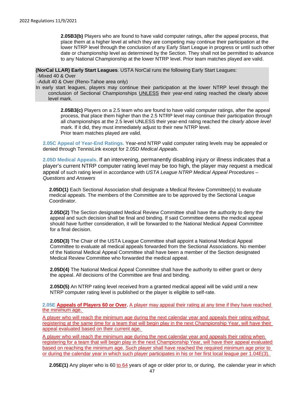**2.05B3(b)** Players who are found to have valid computer ratings, after the appeal process, that place them at a higher level at which they are competing may continue their participation at the lower NTRP level through the conclusion of any Early Start League in progress or until such other date or championship level as determined by the Section. They shall not be permitted to advance to any National Championship at the lower NTRP level. Prior team matches played are valid.

<span id="page-46-0"></span>**(NorCal LLAR) Early Start Leagues**. USTA NorCal runs the following Early Start Leagues:

-Mixed 40 & Over

-Adult 40 & Over (Reno-Tahoe area only)

In early start leagues, players may continue their participation at the lower NTRP level through the conclusion of Sectional Championships UNLESS their year-end rating reached the clearly above level mark.

> **2.05B3(c)** Players on a 2.5 team who are found to have valid computer ratings, after the appeal process, that place them higher than the 2.5 NTRP level may continue their participation through all championships at the 2.5 level UNLESS their year-end rating reached the *clearly above level*  mark. If it did, they must immediately adjust to their new NTRP level. Prior team matches played are valid.

**2.05C Appeal of Year-End Ratings.** Year-end NTRP valid computer rating levels may be appealed or denied through TennisLink except for 2.05D *Medical Appeals*.

**2.05D Medical Appeals.** If an intervening, permanently disabling injury or illness indicates that a player's current NTRP computer rating level may be too high, the player may request a medical appeal of such rating level in accordance with *USTA League NTRP Medical Appeal Procedures – Questions and Answers*

**2.05D(1)** Each Sectional Association shall designate a Medical Review Committee(s) to evaluate medical appeals. The members of the Committee are to be approved by the Sectional League Coordinator.

**2.05D(2)** The Section designated Medical Review Committee shall have the authority to deny the appeal and such decision shall be final and binding. If said Committee deems the medical appeal should have further consideration, it will be forwarded to the National Medical Appeal Committee for a final decision.

**2.05D(3)** The Chair of the USTA League Committee shall appoint a National Medical Appeal Committee to evaluate all medical appeals forwarded from the Sectional Associations. No member of the National Medical Appeal Committee shall have been a member of the Section designated Medical Review Committee who forwarded the medical appeal.

**2.05D(4)** The National Medical Appeal Committee shall have the authority to either grant or deny the appeal. All decisions of the Committee are final and binding.

**2.05D(5)** An NTRP rating level received from a granted medical appeal will be valid until a new NTRP computer rating level is published or the player is eligible to self-rate.

**2.05E Appeals of Players 60 or Over.** A player may appeal their rating at any time if they have reached the minimum age.

A player who will reach the minimum age during the next calendar year and appeals their rating without registering at the same time for a team that will begin play in the next Championship Year, will have their appeal evaluated based on their current age.

A player who will reach the minimum age during the next calendar year and appeals their rating when registering for a team that will begin play in the next Championship Year, will have their appeal evaluated based on reaching the minimum age. Such player shall have reached the required minimum age prior to or during the calendar year in which such player participates in his or her first local league per 1.04E(3).

**2.05E(1)** Any player who is 60 to 64 years of age or older prior to, or during, the calendar year in which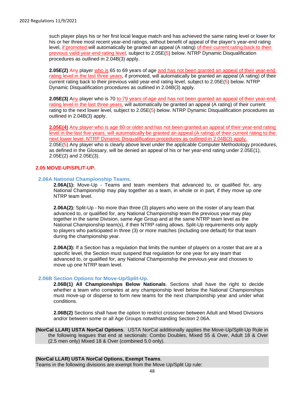such player plays his or her first local league match and has achieved the same rating level or lower for his or her three most recent year-end ratings, without benefit of appeal of the player's year-end rating level, if promoted will automatically be granted an appeal (A rating) of their current rating back to their previous valid year-end rating level, subject to 2.05E(5) below. NTRP Dynamic Disqualification procedures as outlined in 2.04B(3) apply.

**2.05E(2)** Any player who is 65 to 69 years of age and has not been granted an appeal of their year-end rating level in the last three years, if promoted, will automatically be granted an appeal (A rating) of their current rating back to their previous valid year-end rating level, subject to 2.05E(5) below. NTRP Dynamic Disqualification procedures as outlined in 2.04B(3) apply.

**2.05E(3)** Any player who is 70 to 79 years of age and has not been granted an appeal of their year-end rating level in the last three years, will automatically be granted an appeal (A rating) of their current rating to the next lower level, subject to 2.05E(5) below. NTRP Dynamic Disqualification procedures as outlined in 2.04B(3) apply.

**2.05E(4)** Any player who is age 80 or older and has not been granted an appeal of their year-end rating level in the last five years, will automatically be granted an appeal (A rating) of their current rating to the next lower level. NTRP Dynamic Disqualification procedures as outlined in 2.04B(3) apply. 2.05E(5) Any player who is clearly above level under the applicable Computer Methodology procedures, as defined in the Glossary, will be denied an appeal of his or her year-end rating under 2.05E(1), 2.05E(2) and 2.05E(3).

#### **2.05 MOVE-UP/SPLIT-UP.**

#### **2.06A National Championship Teams.**

**2.06A(1):** Move-Up - Teams and team members that advanced to, or qualified for, any National Championship may play together as a team, in whole or in part, if they move up one NTRP team level.

**2.06A(2):** Split-Up - No more than three (3) players who were on the roster of any team that advanced to, or qualified for, any National Championship team the previous year may play together in the same Division, same Age Group and at the same NTRP team level as the National Championship team(s), if their NTRP rating allows. Split-Up requirements only apply to players who participated in three (3) or more matches (including one default) for that team during the championship year.

**2.06A(3):** If a Section has a regulation that limits the number of players on a roster that are at a specific level, the Section must suspend that regulation for one year for any team that advanced to, or qualified for, any National Championship the previous year and chooses to move up one NTRP team level.

#### <span id="page-47-0"></span>**2.06B Section Options for Move-Up/Split-Up.**

**2.06B(1) All Championships Below Nationals**. Sections shall have the right to decide whether a team who competes at any championship level below the National Championships must move-up or disperse to form new teams for the next championship year and under what conditions.

**2.06B(2)** Sections shall have the option to restrict crossover between Adult and Mixed Divisions and/or between some or all Age Groups notwithstanding Section 2.06A.

<span id="page-47-1"></span>**(NorCal LLAR) USTA NorCal Options**.USTA NorCal additionally applies the Move-Up/Split-Up Rule in the following leagues that end at sectionals: Combo Doubles, Mixed 55 & Over, Adult 18 & Over (2.5 men only) Mixed 18 & Over (combined 5.0 only).

#### <span id="page-47-2"></span>**(NorCal LLAR) USTA NorCal Options, Exempt Teams**.

Teams in the following divisions are exempt from the Move Up/Split Up rule: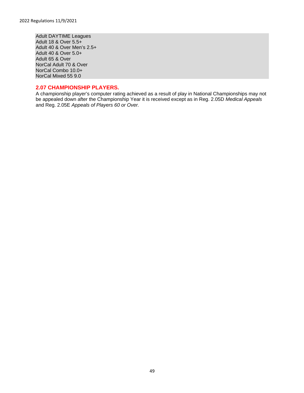Adult DAYTIME Leagues Adult 18 & Over 5.5+ Adult 40 & Over Men's 2.5+ Adult 40 & Over 5.0+ Adult 65 & Over NorCal Adult 70 & Over NorCal Combo 10.0+ NorCal Mixed 55 9.0

#### **2.07 CHAMPIONSHIP PLAYERS.**

A championship player's computer rating achieved as a result of play in National Championships may not be appealed down after the Championship Year it is received except as in Reg. 2.05D *Medical Appeals*  and Reg. 2.05E *Appeals of Players 60 or Over.*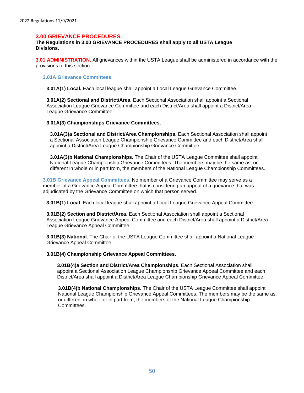#### <span id="page-49-0"></span>**3.00 GRIEVANCE PROCEDURES.**

#### **The Regulations in 3.00 GRIEVANCE PROCEDURES shall apply to all USTA League Divisions.**

**3.01 ADMINISTRATION.** All grievances within the USTA League shall be administered in accordance with the provisions of this section.

**3.01A Grievance Committees.**

**3.01A(1) Local.** Each local league shall appoint a Local League Grievance Committee.

**3.01A(2) Sectional and District/Area.** Each Sectional Association shall appoint a Sectional Association League Grievance Committee and each District/Area shall appoint a District/Area League Grievance Committee.

#### **3.01A(3) Championships Grievance Committees.**

**3.01A(3)a Sectional and District/Area Championships.** Each Sectional Association shall appoint a Sectional Association League Championship Grievance Committee and each District/Area shall appoint a District/Area League Championship Grievance Committee.

**3.01A(3)b National Championships.** The Chair of the USTA League Committee shall appoint National League Championship Grievance Committees. The members may be the same as, or different in whole or in part from, the members of the National League Championship Committees.

**3.01B Grievance Appeal Committees.** No member of a Grievance Committee may serve as a member of a Grievance Appeal Committee that is considering an appeal of a grievance that was adjudicated by the Grievance Committee on which that person served.

**3.01B(1) Local**. Each local league shall appoint a Local League Grievance Appeal Committee.

**3.01B(2) Section and District/Area.** Each Sectional Association shall appoint a Sectional Association League Grievance Appeal Committee and each District/Area shall appoint a District/Area League Grievance Appeal Committee.

**3.01B(3) National.** The Chair of the USTA League Committee shall appoint a National League Grievance Appeal Committee.

#### **3.01B(4) Championship Grievance Appeal Committees.**

**3.01B(4)a Section and District/Area Championships.** Each Sectional Association shall appoint a Sectional Association League Championship Grievance Appeal Committee and each District/Area shall appoint a District/Area League Championship Grievance Appeal Committee.

**3.01B(4)b National Championships.** The Chair of the USTA League Committee shall appoint National League Championship Grievance Appeal Committees. The members may be the same as, or different in whole or in part from, the members of the National League Championship Committees.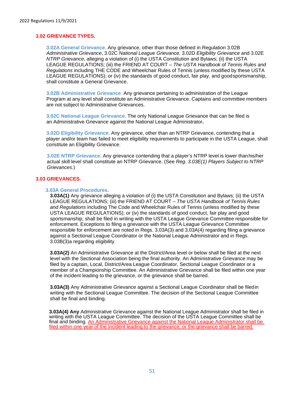#### **3.02 GRIEVANCE TYPES.**

**3.02A General Grievance.** Any grievance, other than those defined in Regulation 3.02B *Administrative Grievance*, 3.02C *National League Grievance,* 3.02D *Eligibility Grievance* and 3.02E *NTRP Grievance*, alleging a violation of (i) the USTA Constitution and Bylaws; (ii) the USTA LEAGUE REGULATIONS; (iii) the FRIEND AT COURT *– The USTA Handbook of Tennis Rules and Regulations* including THE CODE and Wheelchair Rules of Tennis (unless modified by these USTA LEAGUE REGULATIONS); or (iv) the standards of good conduct, fair play, and goodsportsmanship, shall constitute a General Grievance.

**3.02B Administrative Grievance**. Any grievance pertaining to administration of the League Program at any level shall constitute an Administrative Grievance. Captains and committee members are not subject to Administrative Grievances.

**3.02C National League Grievance.** The only National League Grievance that can be filed is an Administrative Grievance against the National League Administrator**.**

**3.02D Eligibility Grievance.** Any grievance, other than an NTRP Grievance, contending that a player and/or team has failed to meet eligibility requirements to participate in the USTA League, shall constitute an Eligibility Grievance.

**3.02E NTRP Grievance.** Any grievance contending that a player's NTRP level is lower thanhis/her actual skill level shall constitute an NTRP Grievance. (See *Reg. 3.03E(1) Players Subject to NTRP Grievances.*)

#### **3.03 GRIEVANCES.**

#### **3.03A General Procedures.**

**3.03A(1)** Any grievance alleging a violation of (i) the USTA Constitution and Bylaws; (ii) the USTA LEAGUE REGULATIONS; (iii) the FRIEND AT COURT *– The USTA Handbook of Tennis Rules and Regulations* including The Code and Wheelchair Rules of Tennis (unless modified by these USTA LEAGUE REGULATIONS); or (iv) the standards of good conduct, fair play and good sportsmanship, shall be filed in writing with the USTA League Grievance Committee responsible for enforcement. Exceptions to filing a grievance with the USTA League Grievance Committee responsible for enforcement are noted in Regs. 3.03A(3) and 3.03A(4) regarding filing a grievance against a Sectional League Coordinator or the National League Administrator and in Regs. 3.03B(3)a regarding eligibility.

**3.03A(2)** An Administrative Grievance at the District/Area level or below shall be filed at the next level with the Sectional Association being the final authority. An Administrative Grievance may be filed by a captain, Local, District/Area League Coordinator, Sectional League Coordinator or a member of a Championship Committee. An Administrative Grievance shall be filed within one year of the incident leading to the grievance, or the grievance shall be barred.

**3.03A(3)** Any Administrative Grievance against a Sectional League Coordinator shall be filedin writing with the Sectional League Committee. The decision of the Sectional League Committee shall be final and binding.

**3.03A(4) Any** Administrative Grievance against the National League Administrator shall be filed in writing with the USTA League Committee. The decision of the USTA League Committee shall be final and binding. An Administrative Grievance against the National League Administrator shall be filed within one year of the incident leading to the grievance, or the grievance shall be barred.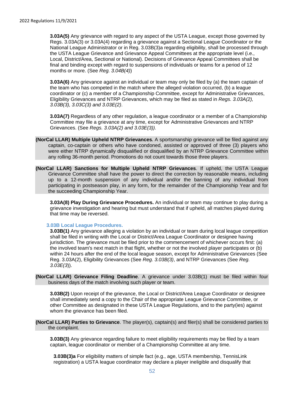**3.03A(5)** Any grievance with regard to any aspect of the USTA League, except those governed by Regs. 3.03A(3) or 3.03A(4) regarding a grievance against a Sectional League Coordinator or the National League Administrator or in Reg. 3.03B(3)a regarding eligibility, shall be processed through the USTA League Grievance and Grievance Appeal Committees at the appropriate level (i.e., Local, District/Area, Sectional or National). Decisions of Grievance Appeal Committees shall be final and binding except with regard to suspensions of individuals or teams for a period of 12 months or more. (See *Reg. 3.04B(4)*)

**3.03A(6)** Any grievance against an individual or team may only be filed by (a) the team captain of the team who has competed in the match where the alleged violation occurred, (b) a league coordinator or (c) a member of a Championship Committee, except for Administrative Grievances, Eligibility Grievances and NTRP Grievances, which may be filed as stated in *Regs. 3.03A(2), 3.03B(3), 3.03C(3) and 3.03E(2)*.

**3.03A(7)** Regardless of any other regulation, a league coordinator or a member of a Championship Committee may file a grievance at any time, except for Administrative Grievances and NTRP Grievances. (See *Regs. 3.03A(2) and 3.03E(3)).*

- <span id="page-51-0"></span>**(NorCal LLAR) Multiple Upheld NTRP Grievances**. A sportsmanship grievance will be filed against any captain, co-captain or others who have condoned, assisted or approved of three (3) players who were either NTRP dynamically disqualified or disqualified by an NTRP Grievance Committee within any rolling 36-month period. Promotions do not count towards those three players.
- <span id="page-51-1"></span>**(NorCal LLAR) Sanctions for Multiple Upheld NTRP Grievances**. If upheld, the USTA League Grievance Committee shall have the power to direct the correction by reasonable means, including up to a 12-month suspension of any individual and/or the banning of any individual from participating in postseason play, in any form, for the remainder of the Championship Year and for the succeeding Championship Year.

**3.03A(8) Play During Grievance Procedures.** An individual or team may continue to play during a grievance investigation and hearing but must understand that if upheld, all matches played during that time may be reversed.

#### **3.03B Local League Procedures.**

**3.03B(1)** Any grievance alleging a violation by an individual or team during local league competition shall be filed in writing with the Local or District/Area League Coordinator or designee having jurisdiction. The grievance must be filed prior to the commencement of whichever occurs first: (a) the involved team's next match in that flight, whether or not the involved player participates or (b) within 24 hours after the end of the local league season, except for Administrative Grievances (See Reg. 3.03A(2), Eligibility Grievances (See *Reg. 3.03B(3)*, and NTRP Grievances (See *Reg. 3.03E(3*)).

<span id="page-51-2"></span>**(NorCal LLAR) Grievance Filing Deadline**. A grievance under 3.03B(1) must be filed within four business days of the match involving such player or team.

**3.03B(2)** Upon receipt of the grievance, the Local or District/Area League Coordinator or designee shall immediately send a copy to the Chair of the appropriate League Grievance Committee, or other Committee as designated in these USTA League Regulations, and to the party(ies) against whom the grievance has been filed.

<span id="page-51-3"></span>**(NorCal LLAR) Parties to Grievance**. The player(s), captain(s) and filer(s) shall be considered parties to the complaint.

**3.03B(3)** Any grievance regarding failure to meet eligibility requirements may be filed by a team captain, league coordinator or member of a Championship Committee at any time.

**3.03B(3)a** For eligibility matters of simple fact (e.g., age, USTA membership, TennisLink registration) a USTA league coordinator may declare a player ineligible and disqualify that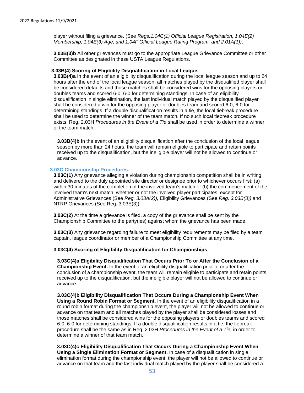player without filing a grievance. (See *Regs.1.04C(1) Official League Registration, 1.04E(2) Membership, 1.04E(3) Age, and 1.04F Official League Rating Program, and 2.01A(1))*.

**3.03B(3)b** All other grievances must go to the appropriate League Grievance Committee or other Committee as designated in these USTA League Regulations.

#### **3.03B(4) Scoring of Eligibility Disqualification in Local League.**

**3.03B(4)a** In the event of an eligibility disqualification during the local league season and up to 24 hours after the end of the local league season, all matches played by the disqualified player shall be considered defaults and those matches shall be considered wins for the opposing players or doubles teams and scored 6-0, 6-0 for determining standings. In case of an eligibility disqualification in single elimination, the last individual match played by the disqualified player shall be considered a win for the opposing player or doubles team and scored 6-0, 6-0 for determining standings. If a double disqualification results in a tie, the local tiebreak procedure shall be used to determine the winner of the team match. If no such local tiebreak procedure exists, Reg. 2.03H *Procedures in the Event of a Tie* shall be used in order to determine a winner of the team match.

**3.03B(4)b** In the event of an eligibility disqualification after the conclusion of the local league season by more than 24 hours, the team will remain eligible to participate and retain points received up to the disqualification, but the ineligible player will not be allowed to continue or advance.

#### **3.03C Championship Procedures.**

**3.03C(1)** Any grievance alleging a violation during championship competition shall be in writing and delivered to the duly appointed site director or designee prior to whichever occurs first: (a) within 30 minutes of the completion of the involved team's match or (b) the commencement of the involved team's next match, whether or not the involved player participates, except for Administrative Grievances (See *Reg. 3.03A(2)),* Eligibility Grievances (See *Reg. 3.03B(3))* and NTRP Grievances (See Reg. 3.03E(3)).

**3.03C(2)** At the time a grievance is filed, a copy of the grievance shall be sent by the Championship Committee to the party(ies) against whom the grievance has been made.

**3.03C(3)** Any grievance regarding failure to meet eligibility requirements may be filed by a team captain, league coordinator or member of a Championship Committee at any time.

#### **3.03C(4) Scoring of Eligibility Disqualification for Championships**.

**3.03C(4)a Eligibility Disqualification That Occurs Prior To or After the Conclusion of a Championship Event.** In the event of an eligibility disqualification prior to or after the conclusion of a championship event, the team will remain eligible to participate and retain points received up to the disqualification, but the ineligible player will not be allowed to continue or advance.

**3.03C(4)b Eligibility Disqualification That Occurs During a Championship Event When Using a Round Robin Format or Segment.** In the event of an eligibility disqualification in a round robin format during the championship event, the player will not be allowed to continue or advance on that team and all matches played by the player shall be considered losses and those matches shall be considered wins for the opposing players or doubles teams and scored 6-0, 6-0 for determining standings. If a double disqualification results in a tie, the tiebreak procedure shall be the same as in Reg. 2.03H *Procedures in the Event of a Tie,* in order to determine a winner of that team match.

**3.03C(4)c Eligibility Disqualification That Occurs During a Championship Event When Using a Single Elimination Format or Segment.** In case of a disqualification in single elimination format during the championship event, the player will not be allowed to continue or advance on that team and the last individual match played by the player shall be considered a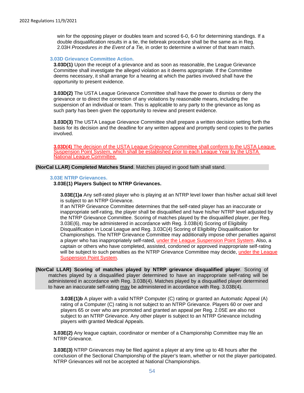win for the opposing player or doubles team and scored 6-0, 6-0 for determining standings. If a double disqualification results in a tie, the tiebreak procedure shall be the same as in Reg. 2.03H *Procedures in the Event of a Tie,* in order to determine a winner of that team match.

#### **3.03D Grievance Committee Action.**

**3.03D(1)** Upon the receipt of a grievance and as soon as reasonable, the League Grievance Committee shall investigate the alleged violation as it deems appropriate. If the Committee deems necessary, it shall arrange for a hearing at which the parties involved shall have the opportunity to present evidence.

**3.03D(2)** The USTA League Grievance Committee shall have the power to dismiss or deny the grievance or to direct the correction of any violations by reasonable means, including the suspension of an individual or team. This is applicable to any party to the grievance as long as such party has been given the opportunity to review and present evidence.

**3.03D(3)** The USTA League Grievance Committee shall prepare a written decision setting forth the basis for its decision and the deadline for any written appeal and promptly send copies to the parties involved.

**3.03D(4)** The decision of the USTA League Grievance Committee shall conform to the USTA League Suspension Point System, which shall be established prior to each League Year by the USTA National League Committee.

<span id="page-53-0"></span>**(NorCal LLAR) Completed Matches Stand**. Matches played in good faith shall stand.

#### **3.03E NTRP Grievances.**

#### **3.03E(1) Players Subject to NTRP Grievances.**

**3.03E(1)a** Any self-rated player who is playing at an NTRP level lower than his/her actual skill level is subject to an NTRP Grievance.

If an NTRP Grievance Committee determines that the self-rated player has an inaccurate or inappropriate self-rating, the player shall be disqualified and have his/her NTRP level adjusted by the NTRP Grievance Committee. Scoring of matches played by the disqualified player, per Reg. 3.03E(6), may be administered in accordance with Reg. 3.03B(4) Scoring of Eligibility Disqualification in Local League and Reg. 3.03C(4) Scoring of Eligibility Disqualification for Championships. The NTRP Grievance Committee may additionally impose other penalties against a player who has inappropriately self-rated, under the League Suspension Point System. Also, a captain or others who have completed, assisted, condoned or approved inappropriate self-rating will be subject to such penalties as the NTRP Grievance Committee may decide, under the League Suspension Point System.

#### <span id="page-53-1"></span>**(NorCal LLAR) Scoring of matches played by NTRP grievance disqualified player**. Scoring of matches played by a disqualified player determined to have an inappropriate self-rating will be administered in accordance with Reg. 3.03B(4). Matches played by a disqualified player determined to have an inaccurate self-rating may be administered in accordance with Reg. 3.03B(4).

**3.03E(1)b** A player with a valid NTRP Computer (C) rating or granted an Automatic Appeal (A) rating of a Computer (C) rating is not subject to an NTRP Grievance. Players 60 or over and players 65 or over who are promoted and granted an appeal per Reg. 2.05E are also not subject to an NTRP Grievance. Any other player is subject to an NTRP Grievance including players with granted Medical Appeals.

**3.03E(2)** Any league captain, coordinator or member of a Championship Committee may file an NTRP Grievance.

**3.03E(3)** NTRP Grievances may be filed against a player at any time up to 48 hours after the conclusion of the Sectional Championship of the player's team, whether or not the player participated. NTRP Grievances will not be accepted at National Championships.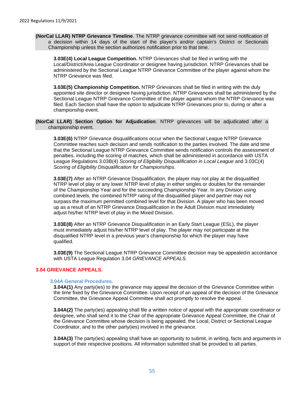<span id="page-54-0"></span>**(NorCal LLAR) NTRP Grievance Timeline**. The NTRP grievance committee will not send notification of a decision within 14 days of the start of the player's and/or captain's District or Sectionals Championship unless the section authorizes notification prior to that time.

**3.03E(4) Local League Competition.** NTRP Grievances shall be filed in writing with the Local/District/Area League Coordinator or designee having jurisdiction. NTRP Grievances shall be administered by the Sectional League NTRP Grievance Committee of the player against whom the NTRP Grievance was filed.

**3.03E(5) Championship Competition.** NTRP Grievances shall be filed in writing with the duly appointed site director or designee having jurisdiction. NTRP Grievances shall be administered by the Sectional League NTRP Grievance Committee of the player against whom the NTRP Grievance was filed. Each Section shall have the option to adjudicate NTRP Grievances prior to, during or after a championship event.

<span id="page-54-1"></span>**(NorCal LLAR) Section Option for Adjudication**. NTRP grievances will be adjudicated after a championship event.

**3.03E(6)** NTRP Grievance disqualifications occur when the Sectional League NTRP Grievance Committee reaches such decision and sends notification to the parties involved. The date and time that the Sectional League NTRP Grievance Committee sends notification controls the assessment of penalties, including the scoring of matches, which shall be administered in accordance with USTA League Regulations 3.03B(4) *Scoring of Eligibility Disqualification in Local League* and 3.03C(4) *Scoring of Eligibility Disqualification for Championships.*

**3.03E(7)** After an NTRP Grievance Disqualification, the player may not play at the disqualified NTRP level of play or any lower NTRP level of play in either singles or doubles for the remainder of the Championship Year and for the succeeding Championship Year. In any Division using combined levels, the combined NTRP rating of the disqualified player and partner may not surpass the maximum permitted combined level for that Division. A player who has been moved up as a result of an NTRP Grievance Disqualification in the Adult Division must immediately adjust his/her NTRP level of play in the Mixed Division.

**3.03E(8)** After an NTRP Grievance Disqualification in an Early Start League (ESL), the player must immediately adjust his/her NTRP level of play. The player may not participate at the disqualified NTRP level in a previous year's championship for which the player may have qualified.

**3.03E(9)** The Sectional League NTRP Grievance Committee decision may be appealedin accordance with USTA League Regulation 3.04 *GRIEVANCE APPEALS*.

#### **3.04 GRIEVANCE APPEALS.**

#### **3.04A General Procedures.**

**3.04A(1)** Any party(ies) to the grievance may appeal the decision of the Grievance Committee within the time fixed by the Grievance Committee. Upon receipt of an appeal of the decision of the Grievance Committee, the Grievance Appeal Committee shall act promptly to resolve the appeal.

**3.04A(2)** The party(ies) appealing shall file a written notice of appeal with the appropriate coordinator or designee, who shall send it to the Chair of the appropriate Grievance Appeal Committee, the Chair of the Grievance Committee whose decision is being appealed, the Local, District or Sectional League Coordinator, and to the other party(ies) involved in the grievance.

**3.04A(3)** The party(ies) appealing shall have an opportunity to submit, in writing, facts and arguments in support of their respective positions. All information submitted shall be provided to all parties.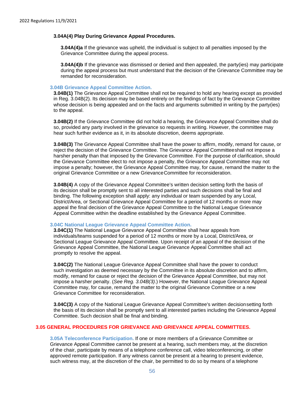#### **3.04A(4) Play During Grievance Appeal Procedures.**

**3.04A(4)a** If the grievance was upheld, the individual is subject to all penalties imposed by the Grievance Committee during the appeal process.

**3.04A(4)b** If the grievance was dismissed or denied and then appealed, the party(ies) may participate during the appeal process but must understand that the decision of the Grievance Committee may be remanded for reconsideration.

#### **3.04B Grievance Appeal Committee Action.**

**3.04B(1)** The Grievance Appeal Committee shall not be required to hold any hearing except as provided in Reg. 3.04B(2). Its decision may be based entirely on the findings of fact by the Grievance Committee whose decision is being appealed and on the facts and arguments submitted in writing by the party(ies) to the appeal.

**3.04B(2)** If the Grievance Committee did not hold a hearing, the Grievance Appeal Committee shall do so, provided any party involved in the grievance so requests in writing. However, the committee may hear such further evidence as it, in its absolute discretion, deems appropriate.

**3.04B(3)** The Grievance Appeal Committee shall have the power to affirm, modify, remand for cause, or reject the decision of the Grievance Committee. The Grievance Appeal Committeeshall not impose a harsher penalty than that imposed by the Grievance Committee. For the purpose of clarification, should the Grievance Committee elect to not impose a penalty, the Grievance Appeal Committee may not impose a penalty; however, the Grievance Appeal Committee may, for cause, remand the matter to the original Grievance Committee or a new GrievanceCommittee for reconsideration.

**3.04B(4)** A copy of the Grievance Appeal Committee's written decision setting forth the basis of its decision shall be promptly sent to all interested parties and such decisions shall be final and binding. The following exception shall apply: any individual or team suspended by any Local, District/Area, or Sectional Grievance Appeal Committee for a period of 12 months or more may appeal the final decision of the Grievance Appeal Committee to the National League Grievance Appeal Committee within the deadline established by the Grievance Appeal Committee.

#### **3.04C National League Grievance Appeal Committee Action.**

**3.04C(1)** The National League Grievance Appeal Committee shall hear appeals from individuals/teams suspended for a period of 12 months or more by a Local, District/Area, or Sectional League Grievance Appeal Committee. Upon receipt of an appeal of the decision of the Grievance Appeal Committee, the National League Grievance Appeal Committee shall act promptly to resolve the appeal.

**3.04C(2)** The National League Grievance Appeal Committee shall have the power to conduct such investigation as deemed necessary by the Committee in its absolute discretion and to affirm, modify, remand for cause or reject the decision of the Grievance Appeal Committee, but may not impose a harsher penalty. (*See Reg. 3.04B(3)*.) However, the National League Grievance Appeal Committee may, for cause, remand the matter to the original Grievance Committee or a new Grievance Committee for reconsideration.

**3.04C(3)** A copy of the National League Grievance Appeal Committee's written decisionsetting forth the basis of its decision shall be promptly sent to all interested parties including the Grievance Appeal Committee. Such decision shall be final and binding.

#### **3.05 GENERAL PROCEDURES FOR GRIEVANCE AND GRIEVANCE APPEAL COMMITTEES.**

**3.05A Teleconference Participation.** If one or more members of a Grievance Committee or Grievance Appeal Committee cannot be present at a hearing, such members may, at the discretion of the chair, participate by means of a telephone conference call, video teleconferencing, or other approved remote participation. If any witness cannot be present at a hearing to present evidence, such witness may, at the discretion of the chair, be permitted to do so by means of a telephone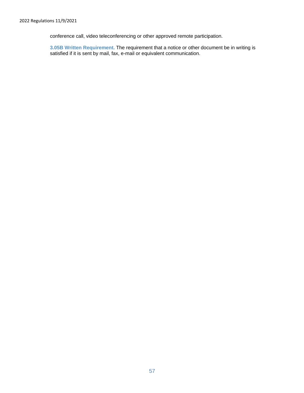conference call, video teleconferencing or other approved remote participation.

**3.05B Written Requirement.** The requirement that a notice or other document be in writing is satisfied if it is sent by mail, fax, e-mail or equivalent communication.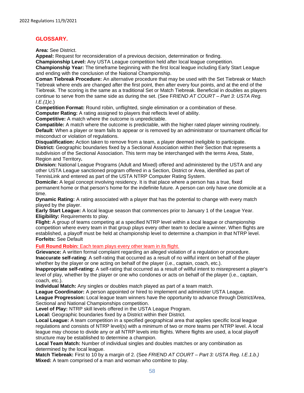#### <span id="page-57-0"></span>**GLOSSARY.**

**Area:** See District.

**Appeal:** Request for reconsideration of a previous decision, determination or finding.

**Championship Level:** Any USTA League competition held after local league competition.

**Championship Year:** The timeframe beginning with the first local league including Early Start League and ending with the conclusion of the National Championship.

**Coman Tiebreak Procedure:** An alternative procedure that may be used with the Set Tiebreak or Match Tiebreak where ends are changed after the first point, then after every four points, and at the end of the Tiebreak. The scoring is the same as a traditional Set or Match Tiebreak. Beneficial in doubles as players continue to serve from the same side as during the set. (See F*RIEND AT COURT – Part 3: USTA Reg. I.E.(1)c.*)

**Competition Format:** Round robin, unflighted, single elimination or a combination of these.

**Computer Rating:** A rating assigned to players that reflects level of ability.

**Competitive:** A match where the outcome is unpredictable.

**Compatible:** A match where the outcome is predictable, with the higher rated player winning routinely. **Default**: When a player or team fails to appear or is removed by an administrator or tournament official for misconduct or violation of regulations.

**Disqualification:** Action taken to remove from a team, a player deemed ineligible to participate. **District:** Geographic boundaries fixed by a Sectional Association within their Section that represents a subdivision of the Sectional Association. This term may be interchanged with the terms Area, State, Region and Territory**.**

**Division:** National League Programs (Adult and Mixed) offered and administered by the USTA and any other USTA League sanctioned program offered in a Section, District or Area, identified as part of TennisLink and entered as part of the USTA NTRP Computer Rating System.

**Domicile:** A legal concept involving residency. It is that place where a person has a true, fixed permanent home or that person's home for the indefinite future. A person can only have one domicile at a time.

**Dynamic Rating:** A rating associated with a player that has the potential to change with every match played by the player.

**Early Start League:** A local league season that commences prior to January 1 of the League Year. **Eligibility: Requirements to play.** 

**Flight:** A group of teams competing at a specified NTRP level within a local league or championship competition where every team in that group plays every other team to declare a winner. When flights are established, a playoff must be held at championship level to determine a champion in that NTRP level. **Forfeits:** See Default

**Full Round Robin:** Each team plays every other team in its flight.

**Grievance:** A written formal complaint regarding an alleged violation of a regulation or procedure. **Inaccurate self-rating**: A self-rating that occurred as a result of no willful intent on behalf of the player whether by the player or one acting on behalf of the player (i.e., captain, coach, etc.).

**Inappropriate self-rating:** A self-rating that occurred as a result of willful intent to misrepresent a player's level of play, whether by the player or one who condones or acts on behalf of the player (i.e., captain, coach, etc.).

**Individual Match:** Any singles or doubles match played as part of a team match.

**League Coordinator:** A person appointed or hired to implement and administer USTA League.

**League Progression:** Local league team winners have the opportunity to advance through District/Area, Sectional and National Championships competition.

**Level of Play:** NTRP skill levels offered in the USTA League Program.

**Local:** Geographic boundaries fixed by a District within their District.

**Local League:** A team competition in a specified geographical area that applies specific local league regulations and consists of NTRP level(s) with a minimum of two or more teams per NTRP level. A local league may choose to divide any or all NTRP levels into flights. Where flights are used, a local playoff structure may be established to determine a champion.

**Local Team Match:** Number of individual singles and doubles matches or any combination as determined by the local league.

**Match Tiebreak:** First to 10 by a margin of 2. (See *FRIEND AT COURT – Part 3: USTA Reg. I.E.1.b.)* **Mixed:** A team comprised of a man and woman who combine to play.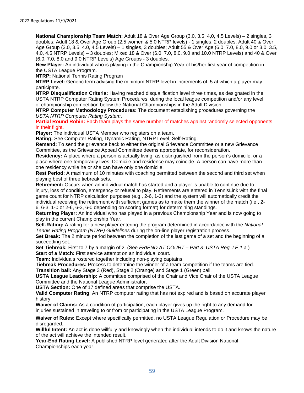**National Championship Team Match:** Adult 18 & Over Age Group (3.0, 3.5, 4,0, 4.5 Levels) – 2 singles, 3 doubles; Adult 18 & Over Age Group (2.5 women & 5.0 NTRP levels) - 1 singles, 2 doubles; Adult 40 & Over Age Group (3.0, 3.5, 4.0, 4.5 Levels) – 1 singles, 3 doubles; Adult 55 & Over Age (6.0, 7.0, 8.0, 9.0 or 3.0, 3.5, 4.0, 4.5 NTRP Levels) – 3 doubles; Mixed 18 & Over (6.0, 7.0, 8.0, 9.0 and 10.0 NTRP Levels) and 40 & Over (6.0, 7.0, 8.0 and 9.0 NTRP Levels) Age Groups - 3 doubles.

**New Player:** An individual who is playing in the Championship Year of his/her first year of competition in the USTA League Program.

**NTRP:** National Tennis Rating Program

**NTRP Level:** Generic term advising the minimum NTRP level in increments of .5 at which a player may participate.

**NTRP Disqualification Criteria:** Having reached disqualification level three times, as designated in the USTA NTRP Computer Rating System Procedures, during the local league competition and/or any level of championship competition below the National Championships in the Adult Division.

**NTRP Computer Methodology Procedures:** The document establishing procedures governing the *USTA NTRP Computer Rating System*.

**Partial Round Robin:** Each team plays the same number of matches against randomly selected opponents in their flight.

**Player:** The individual USTA Member who registers on a team.

**Rating:** See Computer Rating, Dynamic Rating, NTRP Level, Self-Rating.

**Remand:** To send the grievance back to either the original Grievance Committee or a new Grievance Committee, as the Grievance Appeal Committee deems appropriate, for reconsideration.

**Residency:** A place where a person is actually living, as distinguished from the person's domicile, or a place where one temporarily lives. Domicile and residence may coincide. A person can have more than one residency while he or she can have only one domicile.

**Rest Period:** A maximum of 10 minutes with coaching permitted between the second and third set when playing best of three tiebreak sets.

**Retirement:** Occurs when an individual match has started and a player is unable to continue due to injury, loss of condition, emergency or refusal to play. Retirements are entered in TennisLink with the final game count for NTRP calculation purposes (e.g., 2-6, 1-3) and the system will automatically credit the individual receiving the retirement with sufficient games as to make them the winner of the match (i.e., 2- 6, 6-3, 1-0 or 2-6, 6-3, 6-0 depending on scoring format) for determining standings.

**Returning Player:** An individual who has played in a previous Championship Year and is now going to play in the current Championship Year.

**Self-Rating:** A rating for a new player entering the program determined in accordance with the *National Tennis Rating Program (NTRP) Guidelines* during the on-line player registration process.

**Set Break:** The 2 minute period between the completion of the last game of a set and the beginning of a succeeding set.

**Set Tiebreak:** First to 7 by a margin of 2. (See *FRIEND AT COURT – Part 3: USTA Reg. I.E.1.a.*) **Start of a Match:** First service attempt on an individual court.

**Team:** Individuals rostered together including non-playing captains.

**Tiebreak Procedures:** Process to determine the winner of a team competition if the teams are tied. **Transition ball:** Any Stage 3 (Red), Stage 2 (Orange) and Stage 1 (Green) ball.

**USTA League Leadership:** A committee comprised of the Chair and Vice Chair of the USTA League Committee and the National League Administrator.

**USTA Section:** One of 17 defined areas that comprise the USTA.

**Valid Computer Rating**: An NTRP computer rating that has not expired and is based on accurate player history.

**Waiver of Claims:** As a condition of participation, each player gives up the right to any demand for injuries sustained in traveling to or from or participating in the USTA League Program.

**Waiver of Rules:** Except where specifically permitted, no USTA League Regulation or Procedure may be disregarded.

**Willful Intent:** An act is done willfully and knowingly when the individual intends to do it and knows the nature of the act will achieve the intended result.

**Year-End Rating Level:** A published NTRP level generated after the Adult Division National Championships each year.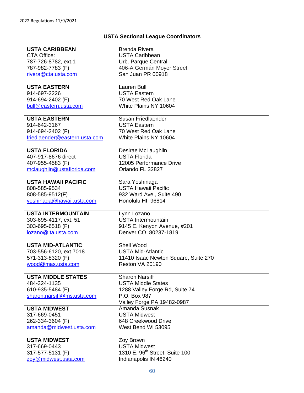### **USTA Sectional League Coordinators**

| <b>USTA CARIBBEAN</b>         | <b>Brenda Rivera</b>                       |
|-------------------------------|--------------------------------------------|
| CTA Office:                   | <b>USTA Caribbean</b>                      |
| 787-726-8782, ext.1           | Urb. Parque Central                        |
| 787-982-7783 (F)              | 406-A Germán Moyer Street                  |
|                               |                                            |
| rivera@cta.usta.com           | San Juan PR 00918                          |
| <b>USTA EASTERN</b>           | Lauren Bull                                |
| 914-697-2226                  | <b>USTA Eastern</b>                        |
| 914-694-2402 (F)              | 70 West Red Oak Lane                       |
| bull@eastern.usta.com         | White Plains NY 10604                      |
|                               |                                            |
| <b>USTA EASTERN</b>           | Susan Friedlaender                         |
| 914-642-3167                  | <b>USTA Eastern</b>                        |
| 914-694-2402 (F)              | 70 West Red Oak Lane                       |
| friedlaender@eastern.usta.com | White Plains NY 10604                      |
|                               |                                            |
| <b>USTA FLORIDA</b>           | Desirae McLaughlin                         |
| 407-917-8676 direct           | <b>USTA Florida</b>                        |
| 407-955-4583 (F)              | 12005 Performance Drive                    |
| mclaughlin@ustaflorida.com    | Orlando FL 32827                           |
|                               |                                            |
| <b>USTA HAWAII PACIFIC</b>    | Sara Yoshinaga                             |
| 808-585-9534                  | <b>USTA Hawaii Pacific</b>                 |
| 808-585-9512(F)               | 932 Ward Ave., Suite 490                   |
| yoshinaqa@hawaii.usta.com     | Honolulu HI 96814                          |
|                               |                                            |
| <b>USTA INTERMOUNTAIN</b>     | Lynn Lozano                                |
| 303-695-4117, ext. 51         | <b>USTA Intermountain</b>                  |
| 303-695-6518 (F)              | 9145 E. Kenyon Avenue, #201                |
| lozano@ita.usta.com           | Denver CO 80237-1819                       |
|                               |                                            |
| <b>USTA MID-ATLANTIC</b>      | Shell Wood                                 |
| 703-556-6120, ext 7018        | <b>USTA Mid-Atlantic</b>                   |
| 571-313-8320 (F)              | 11410 Isaac Newton Square, Suite 270       |
| wood@mas.usta.com             | Reston VA 20190                            |
|                               |                                            |
| <b>USTA MIDDLE STATES</b>     | <b>Sharon Narsiff</b>                      |
| 484-324-1135                  | <b>USTA Middle States</b>                  |
| 610-935-5484 (F)              | 1288 Valley Forge Rd, Suite 74             |
| sharon.narsiff@ms.usta.com    | P.O. Box 987                               |
|                               | Valley Forge PA 19482-0987                 |
| <b>USTA MIDWEST</b>           | Amanda Susnak                              |
| 317-669-0451                  | <b>USTA Midwest</b>                        |
| 262-334-3604 (F)              | 648 Creekwood Drive                        |
| amanda@midwest.usta.com       | West Bend WI 53095                         |
|                               |                                            |
| <b>USTA MIDWEST</b>           | Zoy Brown                                  |
| 317-669-0443                  | <b>USTA Midwest</b>                        |
| 317-577-5131 (F)              | 1310 E. 96 <sup>th</sup> Street, Suite 100 |
|                               |                                            |
| zoy@midwest.usta.com          | Indianapolis IN 46240                      |